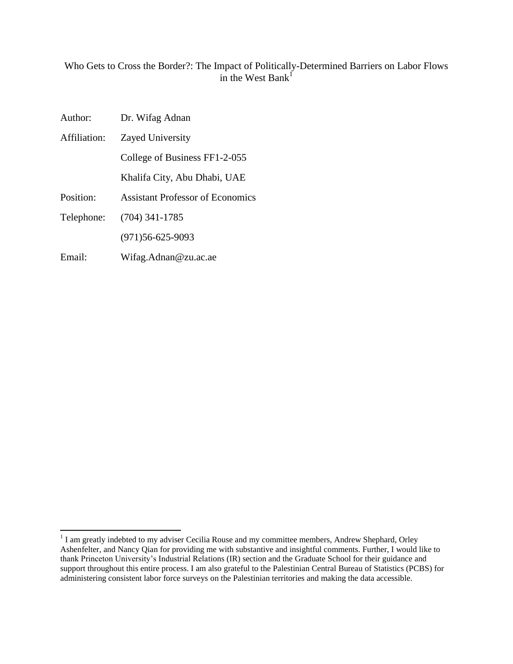# Who Gets to Cross the Border?: The Impact of Politically-Determined Barriers on Labor Flows in the West Bank $\overline{1}$

| Author:      | Dr. Wifag Adnan                         |  |  |  |
|--------------|-----------------------------------------|--|--|--|
| Affiliation: | Zayed University                        |  |  |  |
|              | College of Business FF1-2-055           |  |  |  |
|              | Khalifa City, Abu Dhabi, UAE            |  |  |  |
| Position:    | <b>Assistant Professor of Economics</b> |  |  |  |
| Telephone:   | $(704)$ 341-1785                        |  |  |  |
|              | $(971)56 - 625 - 9093$                  |  |  |  |
| Email:       | Wifag.Adnan@zu.ac.ae                    |  |  |  |

<sup>&</sup>lt;sup>1</sup> I am greatly indebted to my adviser Cecilia Rouse and my committee members, Andrew Shephard, Orley Ashenfelter, and Nancy Qian for providing me with substantive and insightful comments. Further, I would like to thank Princeton University"s Industrial Relations (IR) section and the Graduate School for their guidance and support throughout this entire process. I am also grateful to the Palestinian Central Bureau of Statistics (PCBS) for administering consistent labor force surveys on the Palestinian territories and making the data accessible.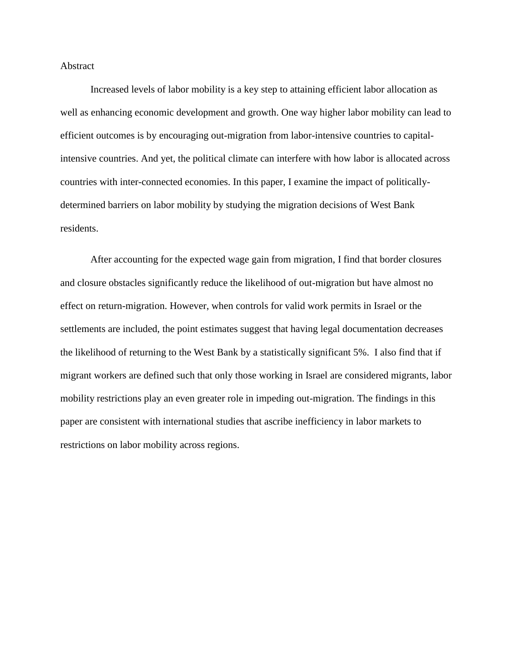#### Abstract

Increased levels of labor mobility is a key step to attaining efficient labor allocation as well as enhancing economic development and growth. One way higher labor mobility can lead to efficient outcomes is by encouraging out-migration from labor-intensive countries to capitalintensive countries. And yet, the political climate can interfere with how labor is allocated across countries with inter-connected economies. In this paper, I examine the impact of politicallydetermined barriers on labor mobility by studying the migration decisions of West Bank residents.

After accounting for the expected wage gain from migration, I find that border closures and closure obstacles significantly reduce the likelihood of out-migration but have almost no effect on return-migration. However, when controls for valid work permits in Israel or the settlements are included, the point estimates suggest that having legal documentation decreases the likelihood of returning to the West Bank by a statistically significant 5%. I also find that if migrant workers are defined such that only those working in Israel are considered migrants, labor mobility restrictions play an even greater role in impeding out-migration. The findings in this paper are consistent with international studies that ascribe inefficiency in labor markets to restrictions on labor mobility across regions.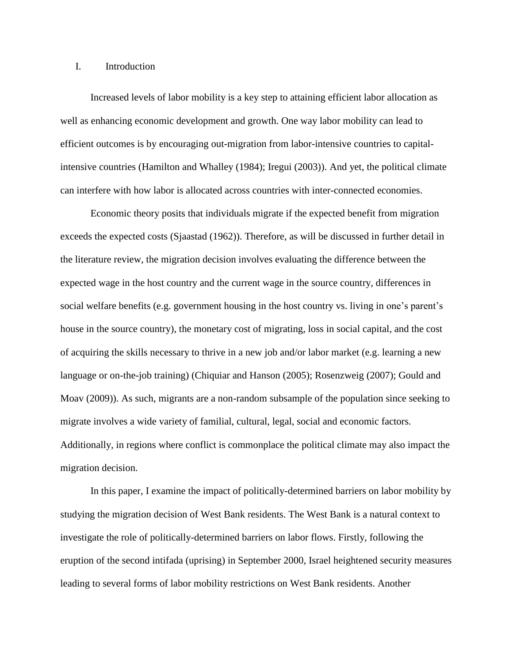## I. Introduction

Increased levels of labor mobility is a key step to attaining efficient labor allocation as well as enhancing economic development and growth. One way labor mobility can lead to efficient outcomes is by encouraging out-migration from labor-intensive countries to capitalintensive countries (Hamilton and Whalley (1984); Iregui (2003)). And yet, the political climate can interfere with how labor is allocated across countries with inter-connected economies.

Economic theory posits that individuals migrate if the expected benefit from migration exceeds the expected costs (Sjaastad (1962)). Therefore, as will be discussed in further detail in the literature review, the migration decision involves evaluating the difference between the expected wage in the host country and the current wage in the source country, differences in social welfare benefits (e.g. government housing in the host country vs. living in one's parent's house in the source country), the monetary cost of migrating, loss in social capital, and the cost of acquiring the skills necessary to thrive in a new job and/or labor market (e.g. learning a new language or on-the-job training) (Chiquiar and Hanson (2005); Rosenzweig (2007); Gould and Moav (2009)). As such, migrants are a non-random subsample of the population since seeking to migrate involves a wide variety of familial, cultural, legal, social and economic factors. Additionally, in regions where conflict is commonplace the political climate may also impact the migration decision.

In this paper, I examine the impact of politically-determined barriers on labor mobility by studying the migration decision of West Bank residents. The West Bank is a natural context to investigate the role of politically-determined barriers on labor flows. Firstly, following the eruption of the second intifada (uprising) in September 2000, Israel heightened security measures leading to several forms of labor mobility restrictions on West Bank residents. Another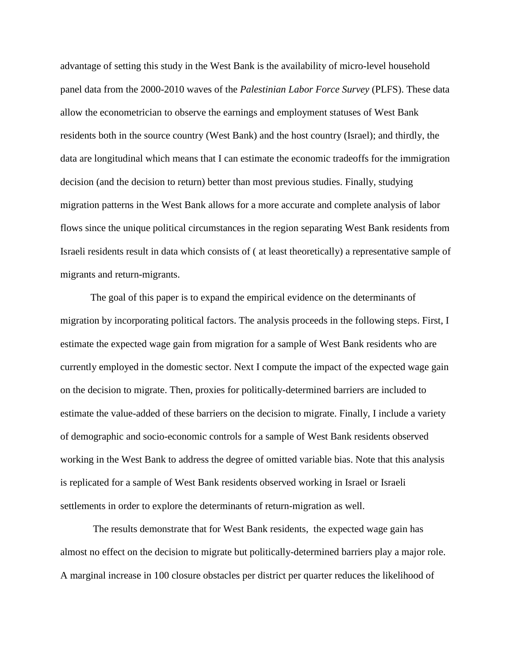advantage of setting this study in the West Bank is the availability of micro-level household panel data from the 2000-2010 waves of the *Palestinian Labor Force Survey* (PLFS). These data allow the econometrician to observe the earnings and employment statuses of West Bank residents both in the source country (West Bank) and the host country (Israel); and thirdly, the data are longitudinal which means that I can estimate the economic tradeoffs for the immigration decision (and the decision to return) better than most previous studies. Finally, studying migration patterns in the West Bank allows for a more accurate and complete analysis of labor flows since the unique political circumstances in the region separating West Bank residents from Israeli residents result in data which consists of ( at least theoretically) a representative sample of migrants and return-migrants.

The goal of this paper is to expand the empirical evidence on the determinants of migration by incorporating political factors. The analysis proceeds in the following steps. First, I estimate the expected wage gain from migration for a sample of West Bank residents who are currently employed in the domestic sector. Next I compute the impact of the expected wage gain on the decision to migrate. Then, proxies for politically-determined barriers are included to estimate the value-added of these barriers on the decision to migrate. Finally, I include a variety of demographic and socio-economic controls for a sample of West Bank residents observed working in the West Bank to address the degree of omitted variable bias. Note that this analysis is replicated for a sample of West Bank residents observed working in Israel or Israeli settlements in order to explore the determinants of return-migration as well.

The results demonstrate that for West Bank residents, the expected wage gain has almost no effect on the decision to migrate but politically-determined barriers play a major role. A marginal increase in 100 closure obstacles per district per quarter reduces the likelihood of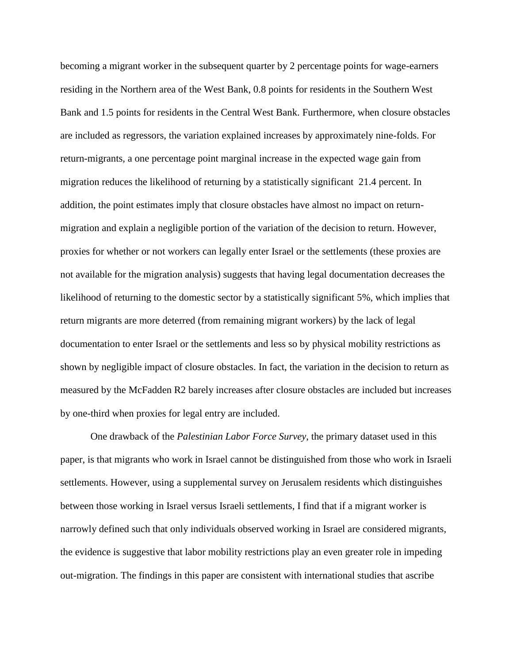becoming a migrant worker in the subsequent quarter by 2 percentage points for wage-earners residing in the Northern area of the West Bank, 0.8 points for residents in the Southern West Bank and 1.5 points for residents in the Central West Bank. Furthermore, when closure obstacles are included as regressors, the variation explained increases by approximately nine-folds. For return-migrants, a one percentage point marginal increase in the expected wage gain from migration reduces the likelihood of returning by a statistically significant 21.4 percent. In addition, the point estimates imply that closure obstacles have almost no impact on returnmigration and explain a negligible portion of the variation of the decision to return. However, proxies for whether or not workers can legally enter Israel or the settlements (these proxies are not available for the migration analysis) suggests that having legal documentation decreases the likelihood of returning to the domestic sector by a statistically significant 5%, which implies that return migrants are more deterred (from remaining migrant workers) by the lack of legal documentation to enter Israel or the settlements and less so by physical mobility restrictions as shown by negligible impact of closure obstacles. In fact, the variation in the decision to return as measured by the McFadden R2 barely increases after closure obstacles are included but increases by one-third when proxies for legal entry are included.

One drawback of the *Palestinian Labor Force Survey*, the primary dataset used in this paper, is that migrants who work in Israel cannot be distinguished from those who work in Israeli settlements. However, using a supplemental survey on Jerusalem residents which distinguishes between those working in Israel versus Israeli settlements, I find that if a migrant worker is narrowly defined such that only individuals observed working in Israel are considered migrants, the evidence is suggestive that labor mobility restrictions play an even greater role in impeding out-migration. The findings in this paper are consistent with international studies that ascribe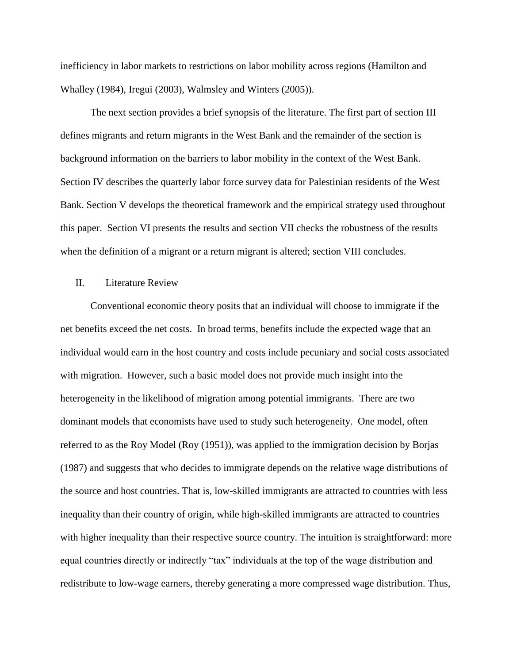inefficiency in labor markets to restrictions on labor mobility across regions (Hamilton and Whalley (1984), Iregui (2003), Walmsley and Winters (2005)).

The next section provides a brief synopsis of the literature. The first part of section III defines migrants and return migrants in the West Bank and the remainder of the section is background information on the barriers to labor mobility in the context of the West Bank. Section IV describes the quarterly labor force survey data for Palestinian residents of the West Bank. Section V develops the theoretical framework and the empirical strategy used throughout this paper. Section VI presents the results and section VII checks the robustness of the results when the definition of a migrant or a return migrant is altered; section VIII concludes.

## II. Literature Review

Conventional economic theory posits that an individual will choose to immigrate if the net benefits exceed the net costs. In broad terms, benefits include the expected wage that an individual would earn in the host country and costs include pecuniary and social costs associated with migration. However, such a basic model does not provide much insight into the heterogeneity in the likelihood of migration among potential immigrants. There are two dominant models that economists have used to study such heterogeneity. One model, often referred to as the Roy Model (Roy (1951)), was applied to the immigration decision by Borjas (1987) and suggests that who decides to immigrate depends on the relative wage distributions of the source and host countries. That is, low-skilled immigrants are attracted to countries with less inequality than their country of origin, while high-skilled immigrants are attracted to countries with higher inequality than their respective source country. The intuition is straightforward: more equal countries directly or indirectly "tax" individuals at the top of the wage distribution and redistribute to low-wage earners, thereby generating a more compressed wage distribution. Thus,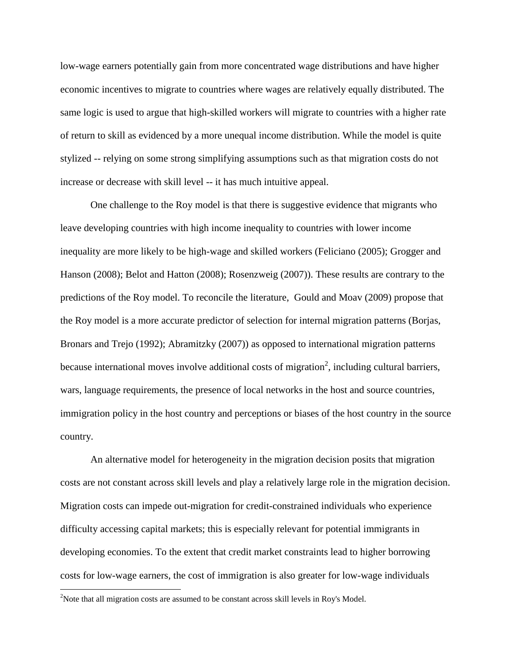low-wage earners potentially gain from more concentrated wage distributions and have higher economic incentives to migrate to countries where wages are relatively equally distributed. The same logic is used to argue that high-skilled workers will migrate to countries with a higher rate of return to skill as evidenced by a more unequal income distribution. While the model is quite stylized -- relying on some strong simplifying assumptions such as that migration costs do not increase or decrease with skill level -- it has much intuitive appeal.

One challenge to the Roy model is that there is suggestive evidence that migrants who leave developing countries with high income inequality to countries with lower income inequality are more likely to be high-wage and skilled workers (Feliciano (2005); Grogger and Hanson (2008); Belot and Hatton (2008); Rosenzweig (2007)). These results are contrary to the predictions of the Roy model. To reconcile the literature, Gould and Moav (2009) propose that the Roy model is a more accurate predictor of selection for internal migration patterns (Borjas, Bronars and Trejo (1992); Abramitzky (2007)) as opposed to international migration patterns because international moves involve additional costs of migration<sup>2</sup>, including cultural barriers, wars, language requirements, the presence of local networks in the host and source countries, immigration policy in the host country and perceptions or biases of the host country in the source country.

An alternative model for heterogeneity in the migration decision posits that migration costs are not constant across skill levels and play a relatively large role in the migration decision. Migration costs can impede out-migration for credit-constrained individuals who experience difficulty accessing capital markets; this is especially relevant for potential immigrants in developing economies. To the extent that credit market constraints lead to higher borrowing costs for low-wage earners, the cost of immigration is also greater for low-wage individuals

 $\overline{\phantom{a}}$ 

<sup>&</sup>lt;sup>2</sup>Note that all migration costs are assumed to be constant across skill levels in Roy's Model.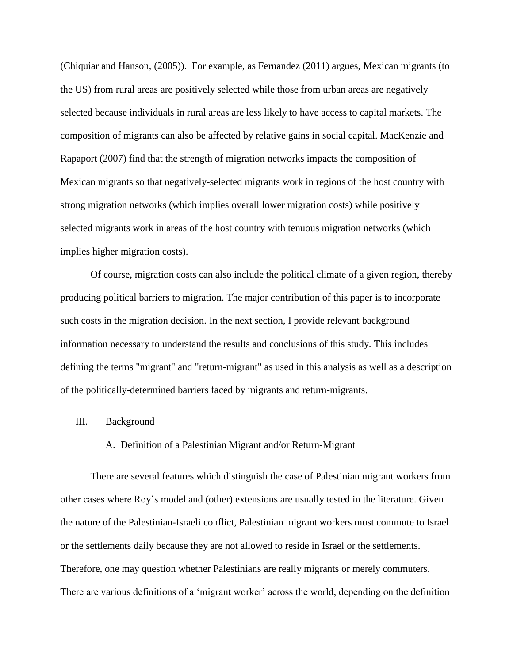(Chiquiar and Hanson, (2005)). For example, as Fernandez (2011) argues, Mexican migrants (to the US) from rural areas are positively selected while those from urban areas are negatively selected because individuals in rural areas are less likely to have access to capital markets. The composition of migrants can also be affected by relative gains in social capital. MacKenzie and Rapaport (2007) find that the strength of migration networks impacts the composition of Mexican migrants so that negatively-selected migrants work in regions of the host country with strong migration networks (which implies overall lower migration costs) while positively selected migrants work in areas of the host country with tenuous migration networks (which implies higher migration costs).

Of course, migration costs can also include the political climate of a given region, thereby producing political barriers to migration. The major contribution of this paper is to incorporate such costs in the migration decision. In the next section, I provide relevant background information necessary to understand the results and conclusions of this study. This includes defining the terms "migrant" and "return-migrant" as used in this analysis as well as a description of the politically-determined barriers faced by migrants and return-migrants.

#### III. Background

#### A. Definition of a Palestinian Migrant and/or Return-Migrant

There are several features which distinguish the case of Palestinian migrant workers from other cases where Roy"s model and (other) extensions are usually tested in the literature. Given the nature of the Palestinian-Israeli conflict, Palestinian migrant workers must commute to Israel or the settlements daily because they are not allowed to reside in Israel or the settlements. Therefore, one may question whether Palestinians are really migrants or merely commuters. There are various definitions of a 'migrant worker' across the world, depending on the definition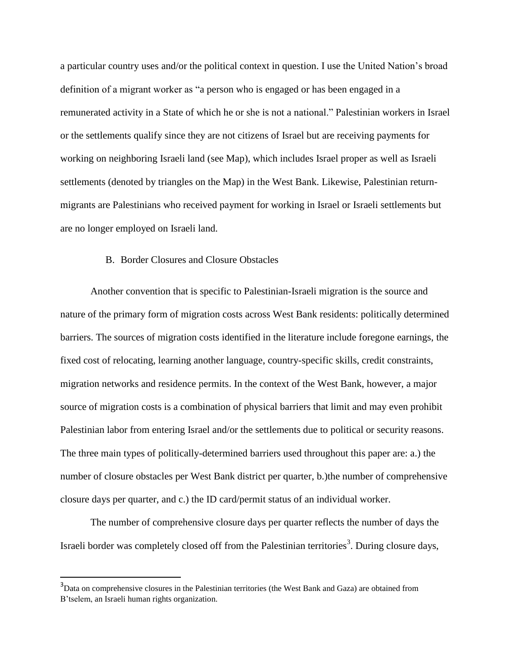a particular country uses and/or the political context in question. I use the United Nation"s broad definition of a migrant worker as "a person who is engaged or has been engaged in a remunerated activity in a State of which he or she is not a national." Palestinian workers in Israel or the settlements qualify since they are not citizens of Israel but are receiving payments for working on neighboring Israeli land (see Map), which includes Israel proper as well as Israeli settlements (denoted by triangles on the Map) in the West Bank. Likewise, Palestinian returnmigrants are Palestinians who received payment for working in Israel or Israeli settlements but are no longer employed on Israeli land.

## B. Border Closures and Closure Obstacles

Another convention that is specific to Palestinian-Israeli migration is the source and nature of the primary form of migration costs across West Bank residents: politically determined barriers. The sources of migration costs identified in the literature include foregone earnings, the fixed cost of relocating, learning another language, country-specific skills, credit constraints, migration networks and residence permits. In the context of the West Bank, however, a major source of migration costs is a combination of physical barriers that limit and may even prohibit Palestinian labor from entering Israel and/or the settlements due to political or security reasons. The three main types of politically-determined barriers used throughout this paper are: a.) the number of closure obstacles per West Bank district per quarter, b.)the number of comprehensive closure days per quarter, and c.) the ID card/permit status of an individual worker.

The number of comprehensive closure days per quarter reflects the number of days the Israeli border was completely closed off from the Palestinian territories<sup>3</sup>. During closure days,

 $\overline{\phantom{a}}$ 

<sup>&</sup>lt;sup>3</sup>Data on comprehensive closures in the Palestinian territories (the West Bank and Gaza) are obtained from B"tselem, an Israeli human rights organization.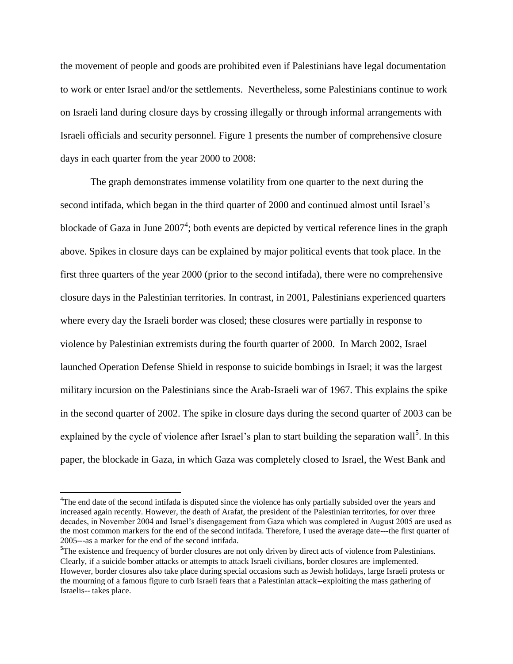the movement of people and goods are prohibited even if Palestinians have legal documentation to work or enter Israel and/or the settlements. Nevertheless, some Palestinians continue to work on Israeli land during closure days by crossing illegally or through informal arrangements with Israeli officials and security personnel. Figure 1 presents the number of comprehensive closure days in each quarter from the year 2000 to 2008:

The graph demonstrates immense volatility from one quarter to the next during the second intifada, which began in the third quarter of 2000 and continued almost until Israel's blockade of Gaza in June  $2007<sup>4</sup>$ ; both events are depicted by vertical reference lines in the graph above. Spikes in closure days can be explained by major political events that took place. In the first three quarters of the year 2000 (prior to the second intifada), there were no comprehensive closure days in the Palestinian territories. In contrast, in 2001, Palestinians experienced quarters where every day the Israeli border was closed; these closures were partially in response to violence by Palestinian extremists during the fourth quarter of 2000. In March 2002, Israel launched Operation Defense Shield in response to suicide bombings in Israel; it was the largest military incursion on the Palestinians since the Arab-Israeli war of 1967. This explains the spike in the second quarter of 2002. The spike in closure days during the second quarter of 2003 can be explained by the cycle of violence after Israel's plan to start building the separation wall<sup>5</sup>. In this paper, the blockade in Gaza, in which Gaza was completely closed to Israel, the West Bank and

 $\overline{\phantom{a}}$ 

<sup>&</sup>lt;sup>4</sup>The end date of the second intifada is disputed since the violence has only partially subsided over the years and increased again recently. However, the death of Arafat, the president of the Palestinian territories, for over three decades, in November 2004 and Israel's disengagement from Gaza which was completed in August 2005 are used as the most common markers for the end of the second intifada. Therefore, I used the average date---the first quarter of 2005---as a marker for the end of the second intifada.

 $5$ The existence and frequency of border closures are not only driven by direct acts of violence from Palestinians. Clearly, if a suicide bomber attacks or attempts to attack Israeli civilians, border closures are implemented. However, border closures also take place during special occasions such as Jewish holidays, large Israeli protests or the mourning of a famous figure to curb Israeli fears that a Palestinian attack--exploiting the mass gathering of Israelis-- takes place.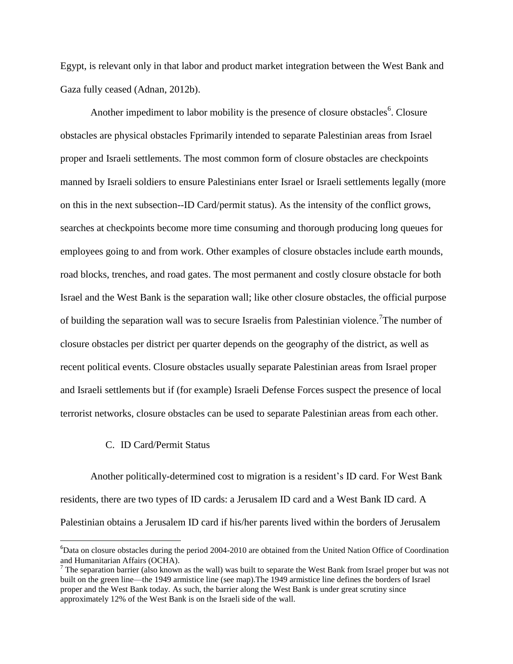Egypt, is relevant only in that labor and product market integration between the West Bank and Gaza fully ceased (Adnan, 2012b).

Another impediment to labor mobility is the presence of closure obstacles<sup>6</sup>. Closure obstacles are physical obstacles Fprimarily intended to separate Palestinian areas from Israel proper and Israeli settlements. The most common form of closure obstacles are checkpoints manned by Israeli soldiers to ensure Palestinians enter Israel or Israeli settlements legally (more on this in the next subsection--ID Card/permit status). As the intensity of the conflict grows, searches at checkpoints become more time consuming and thorough producing long queues for employees going to and from work. Other examples of closure obstacles include earth mounds, road blocks, trenches, and road gates. The most permanent and costly closure obstacle for both Israel and the West Bank is the separation wall; like other closure obstacles, the official purpose of building the separation wall was to secure Israelis from Palestinian violence.<sup>7</sup>The number of closure obstacles per district per quarter depends on the geography of the district, as well as recent political events. Closure obstacles usually separate Palestinian areas from Israel proper and Israeli settlements but if (for example) Israeli Defense Forces suspect the presence of local terrorist networks, closure obstacles can be used to separate Palestinian areas from each other.

#### C. ID Card/Permit Status

l

Another politically-determined cost to migration is a resident"s ID card. For West Bank residents, there are two types of ID cards: a Jerusalem ID card and a West Bank ID card. A Palestinian obtains a Jerusalem ID card if his/her parents lived within the borders of Jerusalem

 $6D$ ata on closure obstacles during the period 2004-2010 are obtained from the United Nation Office of Coordination and Humanitarian Affairs (OCHA).

<sup>&</sup>lt;sup>7</sup> The separation barrier (also known as the wall) was built to separate the West Bank from Israel proper but was not built on the green line—the 1949 armistice line (see map).The 1949 armistice line defines the borders of Israel proper and the West Bank today. As such, the barrier along the West Bank is under great scrutiny since approximately 12% of the West Bank is on the Israeli side of the wall.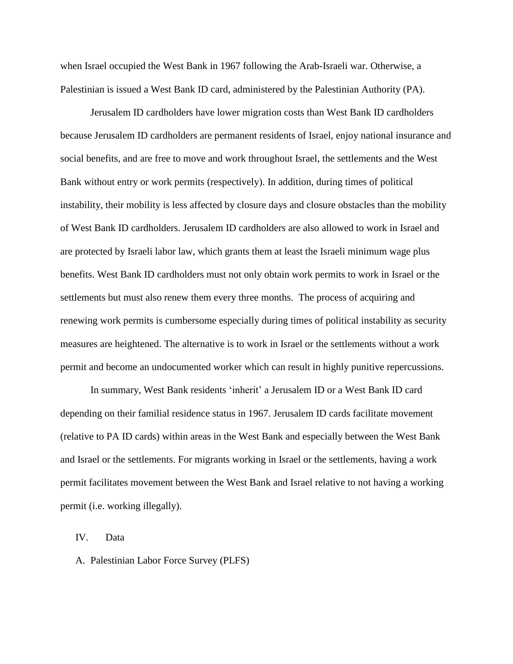when Israel occupied the West Bank in 1967 following the Arab-Israeli war. Otherwise, a Palestinian is issued a West Bank ID card, administered by the Palestinian Authority (PA).

Jerusalem ID cardholders have lower migration costs than West Bank ID cardholders because Jerusalem ID cardholders are permanent residents of Israel, enjoy national insurance and social benefits, and are free to move and work throughout Israel, the settlements and the West Bank without entry or work permits (respectively). In addition, during times of political instability, their mobility is less affected by closure days and closure obstacles than the mobility of West Bank ID cardholders. Jerusalem ID cardholders are also allowed to work in Israel and are protected by Israeli labor law, which grants them at least the Israeli minimum wage plus benefits. West Bank ID cardholders must not only obtain work permits to work in Israel or the settlements but must also renew them every three months. The process of acquiring and renewing work permits is cumbersome especially during times of political instability as security measures are heightened. The alternative is to work in Israel or the settlements without a work permit and become an undocumented worker which can result in highly punitive repercussions.

In summary, West Bank residents "inherit" a Jerusalem ID or a West Bank ID card depending on their familial residence status in 1967. Jerusalem ID cards facilitate movement (relative to PA ID cards) within areas in the West Bank and especially between the West Bank and Israel or the settlements. For migrants working in Israel or the settlements, having a work permit facilitates movement between the West Bank and Israel relative to not having a working permit (i.e. working illegally).

IV. Data

A. Palestinian Labor Force Survey (PLFS)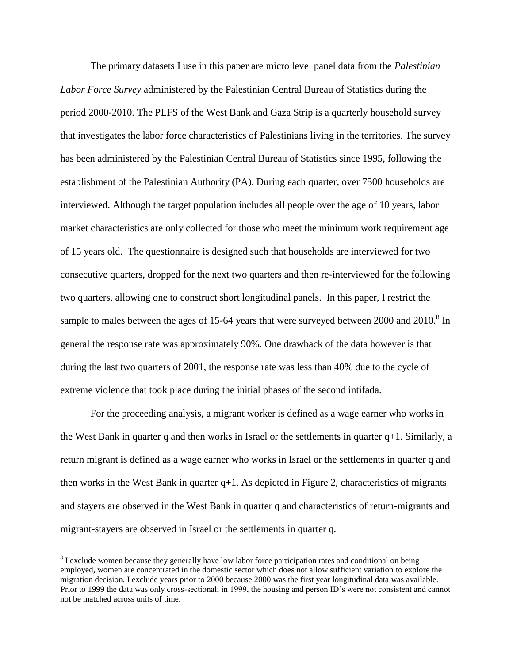The primary datasets I use in this paper are micro level panel data from the *Palestinian Labor Force Survey* administered by the Palestinian Central Bureau of Statistics during the period 2000-2010. The PLFS of the West Bank and Gaza Strip is a quarterly household survey that investigates the labor force characteristics of Palestinians living in the territories. The survey has been administered by the Palestinian Central Bureau of Statistics since 1995, following the establishment of the Palestinian Authority (PA). During each quarter, over 7500 households are interviewed. Although the target population includes all people over the age of 10 years, labor market characteristics are only collected for those who meet the minimum work requirement age of 15 years old. The questionnaire is designed such that households are interviewed for two consecutive quarters, dropped for the next two quarters and then re-interviewed for the following two quarters, allowing one to construct short longitudinal panels. In this paper, I restrict the sample to males between the ages of 15-64 years that were surveyed between 2000 and 2010.<sup>8</sup> In general the response rate was approximately 90%. One drawback of the data however is that during the last two quarters of 2001, the response rate was less than 40% due to the cycle of extreme violence that took place during the initial phases of the second intifada.

For the proceeding analysis, a migrant worker is defined as a wage earner who works in the West Bank in quarter q and then works in Israel or the settlements in quarter  $q+1$ . Similarly, a return migrant is defined as a wage earner who works in Israel or the settlements in quarter q and then works in the West Bank in quarter  $q+1$ . As depicted in Figure 2, characteristics of migrants and stayers are observed in the West Bank in quarter q and characteristics of return-migrants and migrant-stayers are observed in Israel or the settlements in quarter q.

 $\overline{a}$ 

 $8$  I exclude women because they generally have low labor force participation rates and conditional on being employed, women are concentrated in the domestic sector which does not allow sufficient variation to explore the migration decision. I exclude years prior to 2000 because 2000 was the first year longitudinal data was available. Prior to 1999 the data was only cross-sectional; in 1999, the housing and person ID's were not consistent and cannot not be matched across units of time.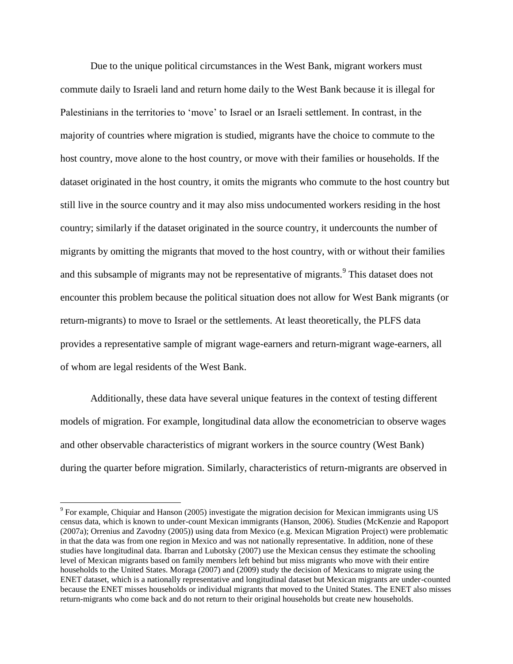Due to the unique political circumstances in the West Bank, migrant workers must commute daily to Israeli land and return home daily to the West Bank because it is illegal for Palestinians in the territories to "move" to Israel or an Israeli settlement. In contrast, in the majority of countries where migration is studied, migrants have the choice to commute to the host country, move alone to the host country, or move with their families or households. If the dataset originated in the host country, it omits the migrants who commute to the host country but still live in the source country and it may also miss undocumented workers residing in the host country; similarly if the dataset originated in the source country, it undercounts the number of migrants by omitting the migrants that moved to the host country, with or without their families and this subsample of migrants may not be representative of migrants.<sup>9</sup> This dataset does not encounter this problem because the political situation does not allow for West Bank migrants (or return-migrants) to move to Israel or the settlements. At least theoretically, the PLFS data provides a representative sample of migrant wage-earners and return-migrant wage-earners, all of whom are legal residents of the West Bank.

Additionally, these data have several unique features in the context of testing different models of migration. For example, longitudinal data allow the econometrician to observe wages and other observable characteristics of migrant workers in the source country (West Bank) during the quarter before migration. Similarly, characteristics of return-migrants are observed in

 $\overline{\phantom{a}}$ 

<sup>&</sup>lt;sup>9</sup> For example, Chiquiar and Hanson (2005) investigate the migration decision for Mexican immigrants using US census data, which is known to under-count Mexican immigrants (Hanson, 2006). Studies (McKenzie and Rapoport (2007a); Orrenius and Zavodny (2005)) using data from Mexico (e.g. Mexican Migration Project) were problematic in that the data was from one region in Mexico and was not nationally representative. In addition, none of these studies have longitudinal data. Ibarran and Lubotsky (2007) use the Mexican census they estimate the schooling level of Mexican migrants based on family members left behind but miss migrants who move with their entire households to the United States. Moraga (2007) and (2009) study the decision of Mexicans to migrate using the ENET dataset, which is a nationally representative and longitudinal dataset but Mexican migrants are under-counted because the ENET misses households or individual migrants that moved to the United States. The ENET also misses return-migrants who come back and do not return to their original households but create new households.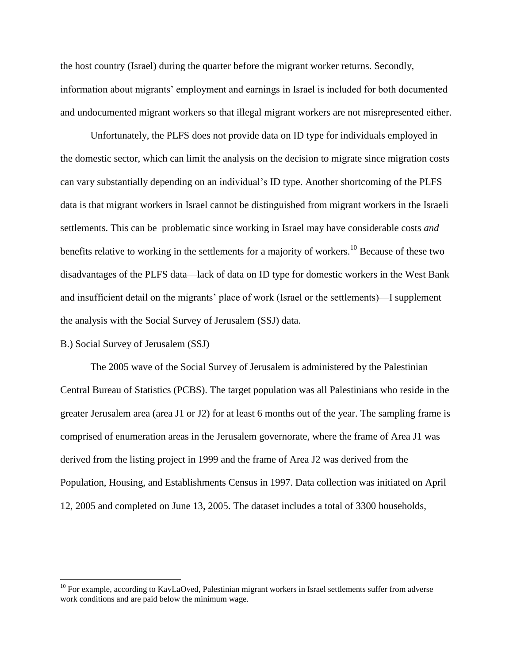the host country (Israel) during the quarter before the migrant worker returns. Secondly, information about migrants" employment and earnings in Israel is included for both documented and undocumented migrant workers so that illegal migrant workers are not misrepresented either.

Unfortunately, the PLFS does not provide data on ID type for individuals employed in the domestic sector, which can limit the analysis on the decision to migrate since migration costs can vary substantially depending on an individual"s ID type. Another shortcoming of the PLFS data is that migrant workers in Israel cannot be distinguished from migrant workers in the Israeli settlements. This can be problematic since working in Israel may have considerable costs *and* benefits relative to working in the settlements for a majority of workers.<sup>10</sup> Because of these two disadvantages of the PLFS data—lack of data on ID type for domestic workers in the West Bank and insufficient detail on the migrants' place of work (Israel or the settlements)—I supplement the analysis with the Social Survey of Jerusalem (SSJ) data.

#### B.) Social Survey of Jerusalem (SSJ)

 $\overline{\phantom{a}}$ 

The 2005 wave of the Social Survey of Jerusalem is administered by the Palestinian Central Bureau of Statistics (PCBS). The target population was all Palestinians who reside in the greater Jerusalem area (area J1 or J2) for at least 6 months out of the year. The sampling frame is comprised of enumeration areas in the Jerusalem governorate, where the frame of Area J1 was derived from the listing project in 1999 and the frame of Area J2 was derived from the Population, Housing, and Establishments Census in 1997. Data collection was initiated on April 12, 2005 and completed on June 13, 2005. The dataset includes a total of 3300 households,

 $10$  For example, according to KavLaOved, Palestinian migrant workers in Israel settlements suffer from adverse work conditions and are paid below the minimum wage.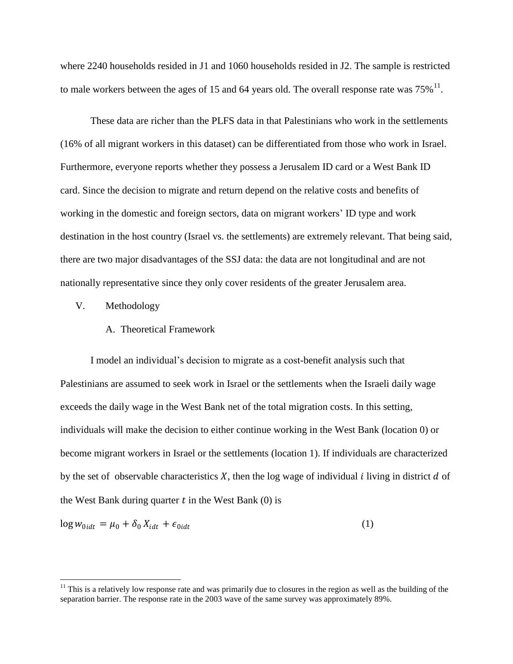where 2240 households resided in J1 and 1060 households resided in J2. The sample is restricted to male workers between the ages of 15 and 64 years old. The overall response rate was  $75\%$ <sup>11</sup>.

These data are richer than the PLFS data in that Palestinians who work in the settlements (16% of all migrant workers in this dataset) can be differentiated from those who work in Israel. Furthermore, everyone reports whether they possess a Jerusalem ID card or a West Bank ID card. Since the decision to migrate and return depend on the relative costs and benefits of working in the domestic and foreign sectors, data on migrant workers" ID type and work destination in the host country (Israel vs. the settlements) are extremely relevant. That being said, there are two major disadvantages of the SSJ data: the data are not longitudinal and are not nationally representative since they only cover residents of the greater Jerusalem area.

V. Methodology

 $\overline{\phantom{a}}$ 

A. Theoretical Framework

I model an individual"s decision to migrate as a cost-benefit analysis such that Palestinians are assumed to seek work in Israel or the settlements when the Israeli daily wage exceeds the daily wage in the West Bank net of the total migration costs. In this setting, individuals will make the decision to either continue working in the West Bank (location 0) or become migrant workers in Israel or the settlements (location 1). If individuals are characterized by the set of observable characteristics  $X$ , then the log wage of individual  $i$  living in district  $d$  of the West Bank during quarter  $t$  in the West Bank (0) is

$$
\log w_{0idt} = \mu_0 + \delta_0 X_{idt} + \epsilon_{0idt}
$$

(1)

 $11$  This is a relatively low response rate and was primarily due to closures in the region as well as the building of the separation barrier. The response rate in the 2003 wave of the same survey was approximately 89%.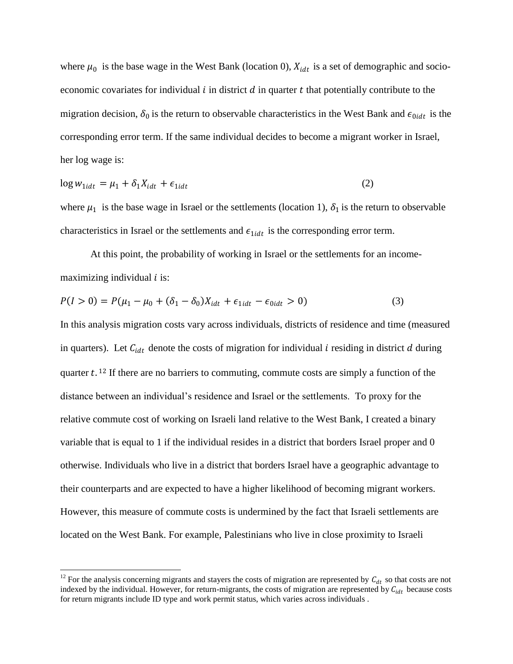where  $\mu_0$  is the base wage in the West Bank (location 0),  $X_{idt}$  is a set of demographic and socioeconomic covariates for individual  $i$  in district  $d$  in quarter  $t$  that potentially contribute to the migration decision,  $\delta_0$  is the return to observable characteristics in the West Bank and  $\epsilon_{0idt}$  is the corresponding error term. If the same individual decides to become a migrant worker in Israel, her log wage is:

$$
\log w_{1idt} = \mu_1 + \delta_1 X_{idt} + \epsilon_{1idt} \tag{2}
$$

where  $\mu_1$  is the base wage in Israel or the settlements (location 1),  $\delta_1$  is the return to observable characteristics in Israel or the settlements and  $\epsilon_{1idt}$  is the corresponding error term.

At this point, the probability of working in Israel or the settlements for an incomemaximizing individual  $i$  is:

$$
P(I > 0) = P(\mu_1 - \mu_0 + (\delta_1 - \delta_0)X_{idt} + \epsilon_{1idt} - \epsilon_{0idt} > 0)
$$
\n(3)

In this analysis migration costs vary across individuals, districts of residence and time (measured in quarters). Let  $C_{idt}$  denote the costs of migration for individual *i* residing in district *d* during quarter  $t$ . <sup>12</sup> If there are no barriers to commuting, commute costs are simply a function of the distance between an individual"s residence and Israel or the settlements. To proxy for the relative commute cost of working on Israeli land relative to the West Bank, I created a binary variable that is equal to 1 if the individual resides in a district that borders Israel proper and 0 otherwise. Individuals who live in a district that borders Israel have a geographic advantage to their counterparts and are expected to have a higher likelihood of becoming migrant workers. However, this measure of commute costs is undermined by the fact that Israeli settlements are located on the West Bank. For example, Palestinians who live in close proximity to Israeli

 $\overline{a}$ 

<sup>&</sup>lt;sup>12</sup> For the analysis concerning migrants and stayers the costs of migration are represented by  $C_{dt}$  so that costs are not indexed by the individual. However, for return-migrants, the costs of migration are represented by  $C_{idt}$  because costs for return migrants include ID type and work permit status, which varies across individuals .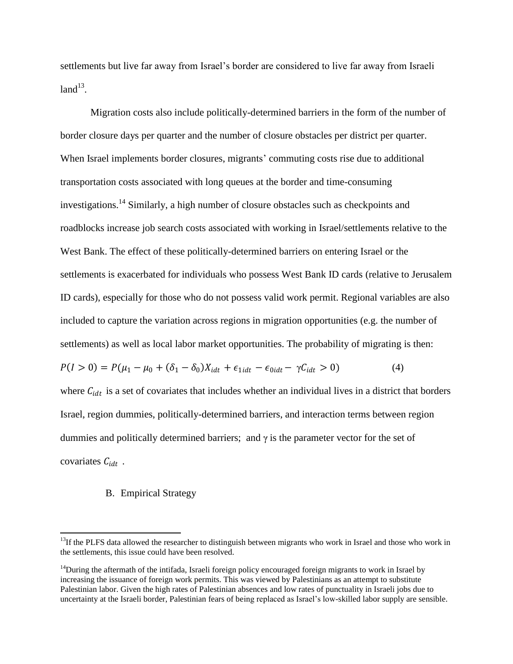settlements but live far away from Israel"s border are considered to live far away from Israeli  $land<sup>13</sup>$ .

Migration costs also include politically-determined barriers in the form of the number of border closure days per quarter and the number of closure obstacles per district per quarter. When Israel implements border closures, migrants' commuting costs rise due to additional transportation costs associated with long queues at the border and time-consuming investigations.<sup>14</sup> Similarly, a high number of closure obstacles such as checkpoints and roadblocks increase job search costs associated with working in Israel/settlements relative to the West Bank. The effect of these politically-determined barriers on entering Israel or the settlements is exacerbated for individuals who possess West Bank ID cards (relative to Jerusalem ID cards), especially for those who do not possess valid work permit. Regional variables are also included to capture the variation across regions in migration opportunities (e.g. the number of settlements) as well as local labor market opportunities. The probability of migrating is then:  $P(I > 0) = P(\mu_1 - \mu_0 + (\delta_1 - \delta_0)X_{idt} + \epsilon_{1idt} - \epsilon_{0idt} - \gamma C_{idt} > 0)$  (4) where  $C_{idt}$  is a set of covariates that includes whether an individual lives in a district that borders Israel, region dummies, politically-determined barriers, and interaction terms between region

covariates  $C_{idt}$ .

 $\overline{\phantom{a}}$ 

#### B. Empirical Strategy

dummies and politically determined barriers; and  $\gamma$  is the parameter vector for the set of

 $13$ If the PLFS data allowed the researcher to distinguish between migrants who work in Israel and those who work in the settlements, this issue could have been resolved.

 $14$ During the aftermath of the intifada, Israeli foreign policy encouraged foreign migrants to work in Israel by increasing the issuance of foreign work permits. This was viewed by Palestinians as an attempt to substitute Palestinian labor. Given the high rates of Palestinian absences and low rates of punctuality in Israeli jobs due to uncertainty at the Israeli border, Palestinian fears of being replaced as Israel"s low-skilled labor supply are sensible.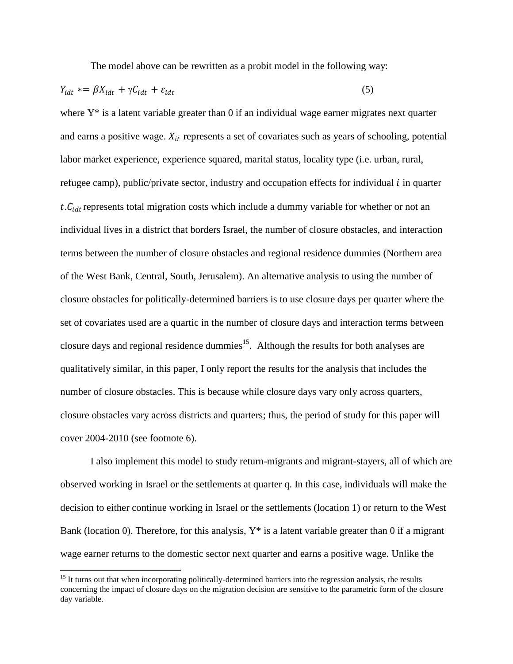The model above can be rewritten as a probit model in the following way:

$$
Y_{idt} = \beta X_{idt} + \gamma C_{idt} + \varepsilon_{idt} \tag{5}
$$

where Y<sup>\*</sup> is a latent variable greater than 0 if an individual wage earner migrates next quarter and earns a positive wage.  $X_{it}$  represents a set of covariates such as years of schooling, potential labor market experience, experience squared, marital status, locality type (i.e. urban, rural, refugee camp), public/private sector, industry and occupation effects for individual  $i$  in quarter  $t$ .  $C_{idt}$  represents total migration costs which include a dummy variable for whether or not an individual lives in a district that borders Israel, the number of closure obstacles, and interaction terms between the number of closure obstacles and regional residence dummies (Northern area of the West Bank, Central, South, Jerusalem). An alternative analysis to using the number of closure obstacles for politically-determined barriers is to use closure days per quarter where the set of covariates used are a quartic in the number of closure days and interaction terms between closure days and regional residence dummies<sup>15</sup>. Although the results for both analyses are qualitatively similar, in this paper, I only report the results for the analysis that includes the number of closure obstacles. This is because while closure days vary only across quarters, closure obstacles vary across districts and quarters; thus, the period of study for this paper will cover 2004-2010 (see footnote 6).

I also implement this model to study return-migrants and migrant-stayers, all of which are observed working in Israel or the settlements at quarter q. In this case, individuals will make the decision to either continue working in Israel or the settlements (location 1) or return to the West Bank (location 0). Therefore, for this analysis,  $Y^*$  is a latent variable greater than 0 if a migrant wage earner returns to the domestic sector next quarter and earns a positive wage. Unlike the

 $\overline{\phantom{a}}$ 

<sup>&</sup>lt;sup>15</sup> It turns out that when incorporating politically-determined barriers into the regression analysis, the results concerning the impact of closure days on the migration decision are sensitive to the parametric form of the closure day variable.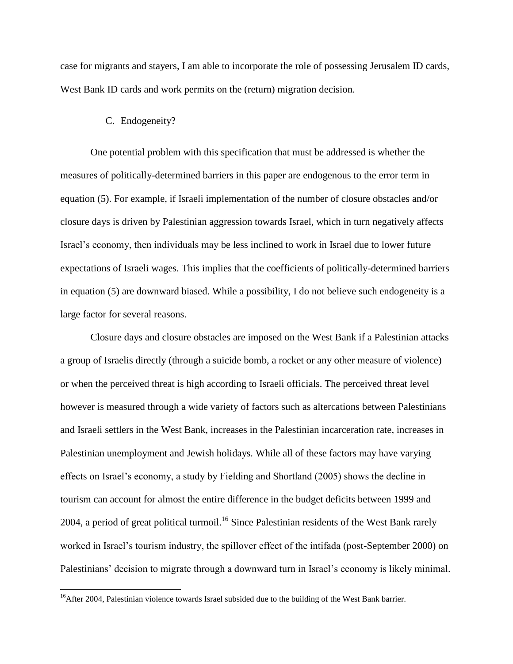case for migrants and stayers, I am able to incorporate the role of possessing Jerusalem ID cards, West Bank ID cards and work permits on the (return) migration decision.

#### C. Endogeneity?

 $\overline{\phantom{a}}$ 

One potential problem with this specification that must be addressed is whether the measures of politically-determined barriers in this paper are endogenous to the error term in equation (5). For example, if Israeli implementation of the number of closure obstacles and/or closure days is driven by Palestinian aggression towards Israel, which in turn negatively affects Israel"s economy, then individuals may be less inclined to work in Israel due to lower future expectations of Israeli wages. This implies that the coefficients of politically-determined barriers in equation (5) are downward biased. While a possibility, I do not believe such endogeneity is a large factor for several reasons.

Closure days and closure obstacles are imposed on the West Bank if a Palestinian attacks a group of Israelis directly (through a suicide bomb, a rocket or any other measure of violence) or when the perceived threat is high according to Israeli officials. The perceived threat level however is measured through a wide variety of factors such as altercations between Palestinians and Israeli settlers in the West Bank, increases in the Palestinian incarceration rate, increases in Palestinian unemployment and Jewish holidays. While all of these factors may have varying effects on Israel"s economy, a study by Fielding and Shortland (2005) shows the decline in tourism can account for almost the entire difference in the budget deficits between 1999 and 2004, a period of great political turmoil.<sup>16</sup> Since Palestinian residents of the West Bank rarely worked in Israel"s tourism industry, the spillover effect of the intifada (post-September 2000) on Palestinians' decision to migrate through a downward turn in Israel's economy is likely minimal.

<sup>&</sup>lt;sup>16</sup>After 2004, Palestinian violence towards Israel subsided due to the building of the West Bank barrier.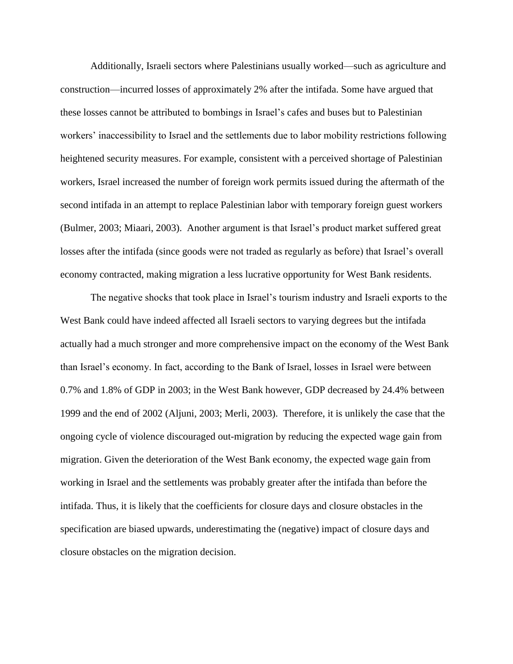Additionally, Israeli sectors where Palestinians usually worked—such as agriculture and construction—incurred losses of approximately 2% after the intifada. Some have argued that these losses cannot be attributed to bombings in Israel"s cafes and buses but to Palestinian workers" inaccessibility to Israel and the settlements due to labor mobility restrictions following heightened security measures. For example, consistent with a perceived shortage of Palestinian workers, Israel increased the number of foreign work permits issued during the aftermath of the second intifada in an attempt to replace Palestinian labor with temporary foreign guest workers (Bulmer, 2003; Miaari, 2003). Another argument is that Israel"s product market suffered great losses after the intifada (since goods were not traded as regularly as before) that Israel's overall economy contracted, making migration a less lucrative opportunity for West Bank residents.

The negative shocks that took place in Israel"s tourism industry and Israeli exports to the West Bank could have indeed affected all Israeli sectors to varying degrees but the intifada actually had a much stronger and more comprehensive impact on the economy of the West Bank than Israel"s economy. In fact, according to the Bank of Israel, losses in Israel were between 0.7% and 1.8% of GDP in 2003; in the West Bank however, GDP decreased by 24.4% between 1999 and the end of 2002 (Aljuni, 2003; Merli, 2003). Therefore, it is unlikely the case that the ongoing cycle of violence discouraged out-migration by reducing the expected wage gain from migration. Given the deterioration of the West Bank economy, the expected wage gain from working in Israel and the settlements was probably greater after the intifada than before the intifada. Thus, it is likely that the coefficients for closure days and closure obstacles in the specification are biased upwards, underestimating the (negative) impact of closure days and closure obstacles on the migration decision.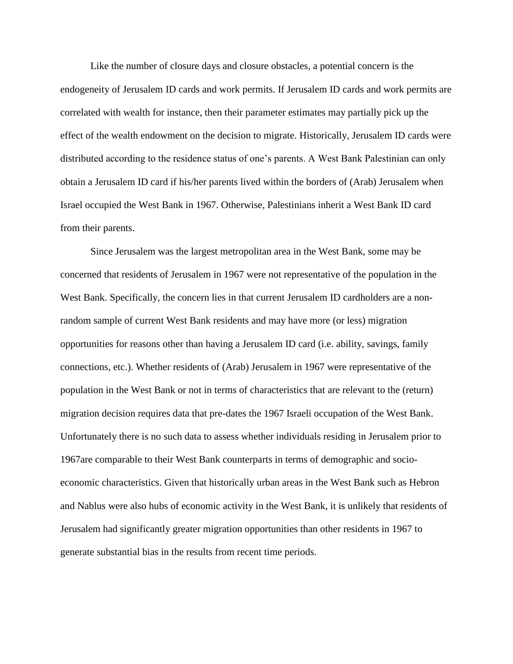Like the number of closure days and closure obstacles, a potential concern is the endogeneity of Jerusalem ID cards and work permits. If Jerusalem ID cards and work permits are correlated with wealth for instance, then their parameter estimates may partially pick up the effect of the wealth endowment on the decision to migrate. Historically, Jerusalem ID cards were distributed according to the residence status of one"s parents. A West Bank Palestinian can only obtain a Jerusalem ID card if his/her parents lived within the borders of (Arab) Jerusalem when Israel occupied the West Bank in 1967. Otherwise, Palestinians inherit a West Bank ID card from their parents.

Since Jerusalem was the largest metropolitan area in the West Bank, some may be concerned that residents of Jerusalem in 1967 were not representative of the population in the West Bank. Specifically, the concern lies in that current Jerusalem ID cardholders are a nonrandom sample of current West Bank residents and may have more (or less) migration opportunities for reasons other than having a Jerusalem ID card (i.e. ability, savings, family connections, etc.). Whether residents of (Arab) Jerusalem in 1967 were representative of the population in the West Bank or not in terms of characteristics that are relevant to the (return) migration decision requires data that pre-dates the 1967 Israeli occupation of the West Bank. Unfortunately there is no such data to assess whether individuals residing in Jerusalem prior to 1967are comparable to their West Bank counterparts in terms of demographic and socioeconomic characteristics. Given that historically urban areas in the West Bank such as Hebron and Nablus were also hubs of economic activity in the West Bank, it is unlikely that residents of Jerusalem had significantly greater migration opportunities than other residents in 1967 to generate substantial bias in the results from recent time periods.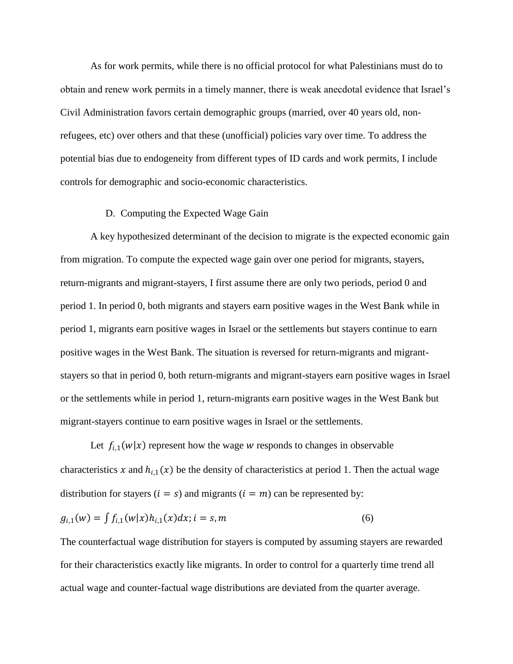As for work permits, while there is no official protocol for what Palestinians must do to obtain and renew work permits in a timely manner, there is weak anecdotal evidence that Israel"s Civil Administration favors certain demographic groups (married, over 40 years old, nonrefugees, etc) over others and that these (unofficial) policies vary over time. To address the potential bias due to endogeneity from different types of ID cards and work permits, I include controls for demographic and socio-economic characteristics.

#### D. Computing the Expected Wage Gain

A key hypothesized determinant of the decision to migrate is the expected economic gain from migration. To compute the expected wage gain over one period for migrants, stayers, return-migrants and migrant-stayers, I first assume there are only two periods, period 0 and period 1. In period 0, both migrants and stayers earn positive wages in the West Bank while in period 1, migrants earn positive wages in Israel or the settlements but stayers continue to earn positive wages in the West Bank. The situation is reversed for return-migrants and migrantstayers so that in period 0, both return-migrants and migrant-stayers earn positive wages in Israel or the settlements while in period 1, return-migrants earn positive wages in the West Bank but migrant-stayers continue to earn positive wages in Israel or the settlements.

Let  $f_{i,1}(w|x)$  represent how the wage w responds to changes in observable characteristics x and  $h_{i,1}(x)$  be the density of characteristics at period 1. Then the actual wage distribution for stayers  $(i = s)$  and migrants  $(i = m)$  can be represented by:

$$
g_{i,1}(w) = \int f_{i,1}(w|x)h_{i,1}(x)dx; i = s, m
$$
\n(6)

The counterfactual wage distribution for stayers is computed by assuming stayers are rewarded for their characteristics exactly like migrants. In order to control for a quarterly time trend all actual wage and counter-factual wage distributions are deviated from the quarter average.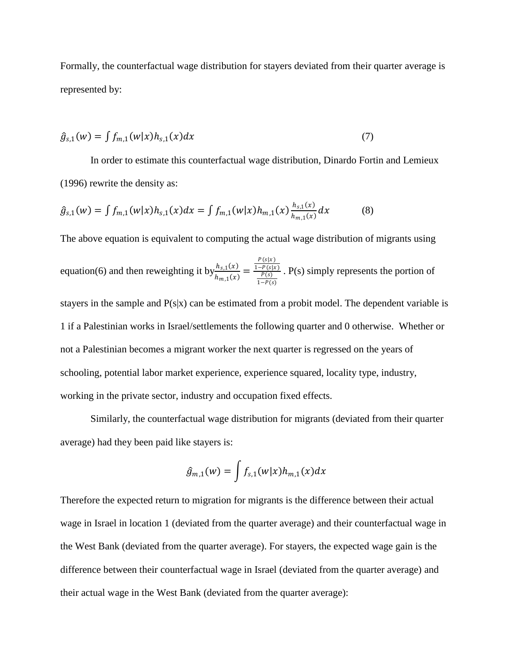Formally, the counterfactual wage distribution for stayers deviated from their quarter average is represented by:

$$
\hat{g}_{s,1}(w) = \int f_{m,1}(w|x)h_{s,1}(x)dx
$$
\n(7)

In order to estimate this counterfactual wage distribution, Dinardo Fortin and Lemieux (1996) rewrite the density as:

$$
\hat{g}_{s,1}(w) = \int f_{m,1}(w|x)h_{s,1}(x)dx = \int f_{m,1}(w|x)h_{m,1}(x)\frac{h_{s,1}(x)}{h_{m,1}(x)}dx \tag{8}
$$

The above equation is equivalent to computing the actual wage distribution of migrants using

equation(6) and then reweighting it by 
$$
\frac{h_{s,1}(x)}{h_{m,1}(x)} = \frac{\frac{P(s|x)}{1 - P(s)x}}{\frac{P(s)}{1 - P(s)}}
$$
. P(s) simply represents the portion of

stayers in the sample and  $P(s|x)$  can be estimated from a probit model. The dependent variable is 1 if a Palestinian works in Israel/settlements the following quarter and 0 otherwise. Whether or not a Palestinian becomes a migrant worker the next quarter is regressed on the years of schooling, potential labor market experience, experience squared, locality type, industry, working in the private sector, industry and occupation fixed effects.

Similarly, the counterfactual wage distribution for migrants (deviated from their quarter average) had they been paid like stayers is:

$$
\hat{g}_{m,1}(w) = \int f_{s,1}(w|x)h_{m,1}(x)dx
$$

Therefore the expected return to migration for migrants is the difference between their actual wage in Israel in location 1 (deviated from the quarter average) and their counterfactual wage in the West Bank (deviated from the quarter average). For stayers, the expected wage gain is the difference between their counterfactual wage in Israel (deviated from the quarter average) and their actual wage in the West Bank (deviated from the quarter average):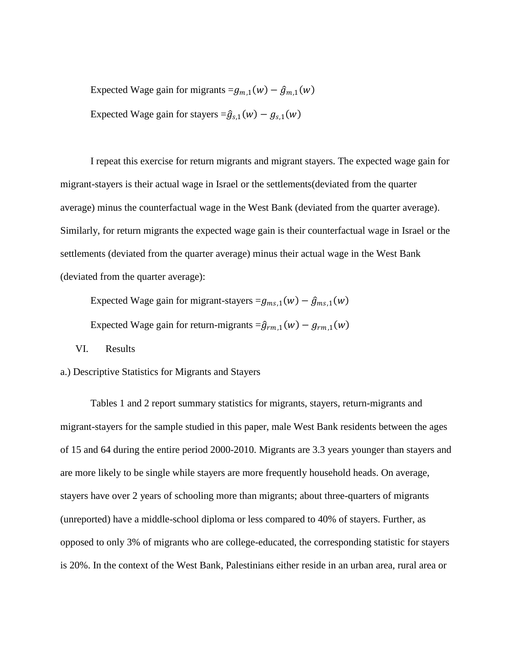Expected Wage gain for migrants  $=g_{m,1}(w) - \hat{g}_{m,1}(w)$ Expected Wage gain for stayers  $=\hat{g}_{s,1}(w) - g_{s,1}(w)$ 

I repeat this exercise for return migrants and migrant stayers. The expected wage gain for migrant-stayers is their actual wage in Israel or the settlements(deviated from the quarter average) minus the counterfactual wage in the West Bank (deviated from the quarter average). Similarly, for return migrants the expected wage gain is their counterfactual wage in Israel or the settlements (deviated from the quarter average) minus their actual wage in the West Bank (deviated from the quarter average):

Expected Wage gain for migrant-stayers  $=g_{ms,1}(w) - \hat{g}_{ms,1}(w)$ 

Expected Wage gain for return-migrants  $=\hat{g}_{rm,1}(w) - g_{rm,1}(w)$ 

VI. Results

a.) Descriptive Statistics for Migrants and Stayers

Tables 1 and 2 report summary statistics for migrants, stayers, return-migrants and migrant-stayers for the sample studied in this paper, male West Bank residents between the ages of 15 and 64 during the entire period 2000-2010. Migrants are 3.3 years younger than stayers and are more likely to be single while stayers are more frequently household heads. On average, stayers have over 2 years of schooling more than migrants; about three-quarters of migrants (unreported) have a middle-school diploma or less compared to 40% of stayers. Further, as opposed to only 3% of migrants who are college-educated, the corresponding statistic for stayers is 20%. In the context of the West Bank, Palestinians either reside in an urban area, rural area or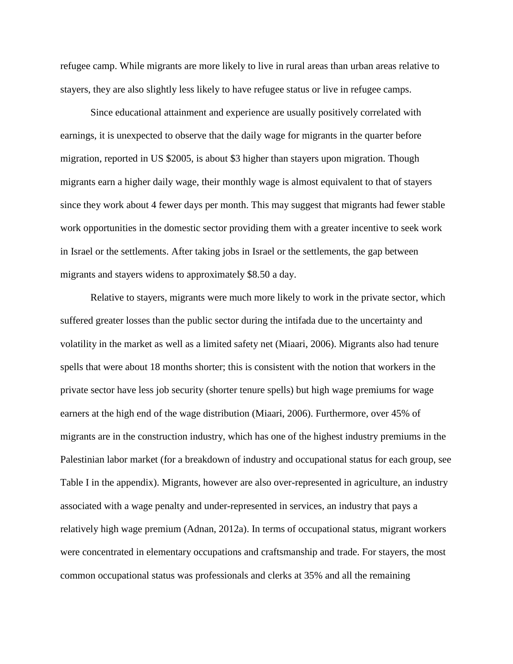refugee camp. While migrants are more likely to live in rural areas than urban areas relative to stayers, they are also slightly less likely to have refugee status or live in refugee camps.

Since educational attainment and experience are usually positively correlated with earnings, it is unexpected to observe that the daily wage for migrants in the quarter before migration, reported in US \$2005, is about \$3 higher than stayers upon migration. Though migrants earn a higher daily wage, their monthly wage is almost equivalent to that of stayers since they work about 4 fewer days per month. This may suggest that migrants had fewer stable work opportunities in the domestic sector providing them with a greater incentive to seek work in Israel or the settlements. After taking jobs in Israel or the settlements, the gap between migrants and stayers widens to approximately \$8.50 a day.

Relative to stayers, migrants were much more likely to work in the private sector, which suffered greater losses than the public sector during the intifada due to the uncertainty and volatility in the market as well as a limited safety net (Miaari, 2006). Migrants also had tenure spells that were about 18 months shorter; this is consistent with the notion that workers in the private sector have less job security (shorter tenure spells) but high wage premiums for wage earners at the high end of the wage distribution (Miaari, 2006). Furthermore, over 45% of migrants are in the construction industry, which has one of the highest industry premiums in the Palestinian labor market (for a breakdown of industry and occupational status for each group, see Table I in the appendix). Migrants, however are also over-represented in agriculture, an industry associated with a wage penalty and under-represented in services, an industry that pays a relatively high wage premium (Adnan, 2012a). In terms of occupational status, migrant workers were concentrated in elementary occupations and craftsmanship and trade. For stayers, the most common occupational status was professionals and clerks at 35% and all the remaining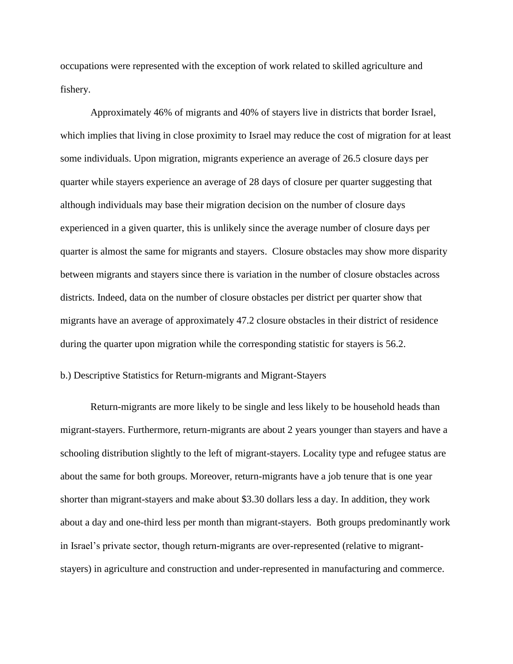occupations were represented with the exception of work related to skilled agriculture and fishery.

Approximately 46% of migrants and 40% of stayers live in districts that border Israel, which implies that living in close proximity to Israel may reduce the cost of migration for at least some individuals. Upon migration, migrants experience an average of 26.5 closure days per quarter while stayers experience an average of 28 days of closure per quarter suggesting that although individuals may base their migration decision on the number of closure days experienced in a given quarter, this is unlikely since the average number of closure days per quarter is almost the same for migrants and stayers. Closure obstacles may show more disparity between migrants and stayers since there is variation in the number of closure obstacles across districts. Indeed, data on the number of closure obstacles per district per quarter show that migrants have an average of approximately 47.2 closure obstacles in their district of residence during the quarter upon migration while the corresponding statistic for stayers is 56.2.

#### b.) Descriptive Statistics for Return-migrants and Migrant-Stayers

Return-migrants are more likely to be single and less likely to be household heads than migrant-stayers. Furthermore, return-migrants are about 2 years younger than stayers and have a schooling distribution slightly to the left of migrant-stayers. Locality type and refugee status are about the same for both groups. Moreover, return-migrants have a job tenure that is one year shorter than migrant-stayers and make about \$3.30 dollars less a day. In addition, they work about a day and one-third less per month than migrant-stayers. Both groups predominantly work in Israel"s private sector, though return-migrants are over-represented (relative to migrantstayers) in agriculture and construction and under-represented in manufacturing and commerce.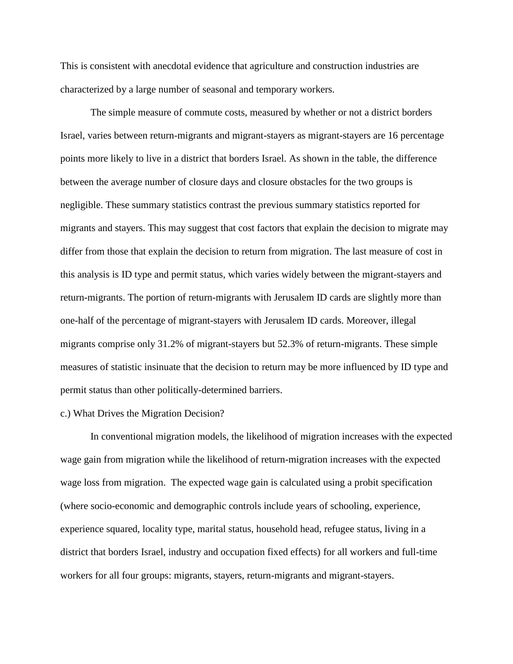This is consistent with anecdotal evidence that agriculture and construction industries are characterized by a large number of seasonal and temporary workers.

The simple measure of commute costs, measured by whether or not a district borders Israel, varies between return-migrants and migrant-stayers as migrant-stayers are 16 percentage points more likely to live in a district that borders Israel. As shown in the table, the difference between the average number of closure days and closure obstacles for the two groups is negligible. These summary statistics contrast the previous summary statistics reported for migrants and stayers. This may suggest that cost factors that explain the decision to migrate may differ from those that explain the decision to return from migration. The last measure of cost in this analysis is ID type and permit status, which varies widely between the migrant-stayers and return-migrants. The portion of return-migrants with Jerusalem ID cards are slightly more than one-half of the percentage of migrant-stayers with Jerusalem ID cards. Moreover, illegal migrants comprise only 31.2% of migrant-stayers but 52.3% of return-migrants. These simple measures of statistic insinuate that the decision to return may be more influenced by ID type and permit status than other politically-determined barriers.

#### c.) What Drives the Migration Decision?

In conventional migration models, the likelihood of migration increases with the expected wage gain from migration while the likelihood of return-migration increases with the expected wage loss from migration. The expected wage gain is calculated using a probit specification (where socio-economic and demographic controls include years of schooling, experience, experience squared, locality type, marital status, household head, refugee status, living in a district that borders Israel, industry and occupation fixed effects) for all workers and full-time workers for all four groups: migrants, stayers, return-migrants and migrant-stayers.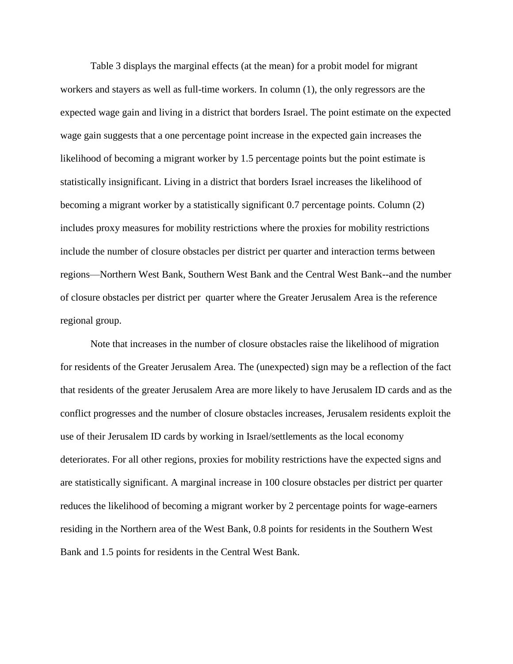Table 3 displays the marginal effects (at the mean) for a probit model for migrant workers and stayers as well as full-time workers. In column (1), the only regressors are the expected wage gain and living in a district that borders Israel. The point estimate on the expected wage gain suggests that a one percentage point increase in the expected gain increases the likelihood of becoming a migrant worker by 1.5 percentage points but the point estimate is statistically insignificant. Living in a district that borders Israel increases the likelihood of becoming a migrant worker by a statistically significant 0.7 percentage points. Column (2) includes proxy measures for mobility restrictions where the proxies for mobility restrictions include the number of closure obstacles per district per quarter and interaction terms between regions—Northern West Bank, Southern West Bank and the Central West Bank--and the number of closure obstacles per district per quarter where the Greater Jerusalem Area is the reference regional group.

Note that increases in the number of closure obstacles raise the likelihood of migration for residents of the Greater Jerusalem Area. The (unexpected) sign may be a reflection of the fact that residents of the greater Jerusalem Area are more likely to have Jerusalem ID cards and as the conflict progresses and the number of closure obstacles increases, Jerusalem residents exploit the use of their Jerusalem ID cards by working in Israel/settlements as the local economy deteriorates. For all other regions, proxies for mobility restrictions have the expected signs and are statistically significant. A marginal increase in 100 closure obstacles per district per quarter reduces the likelihood of becoming a migrant worker by 2 percentage points for wage-earners residing in the Northern area of the West Bank, 0.8 points for residents in the Southern West Bank and 1.5 points for residents in the Central West Bank.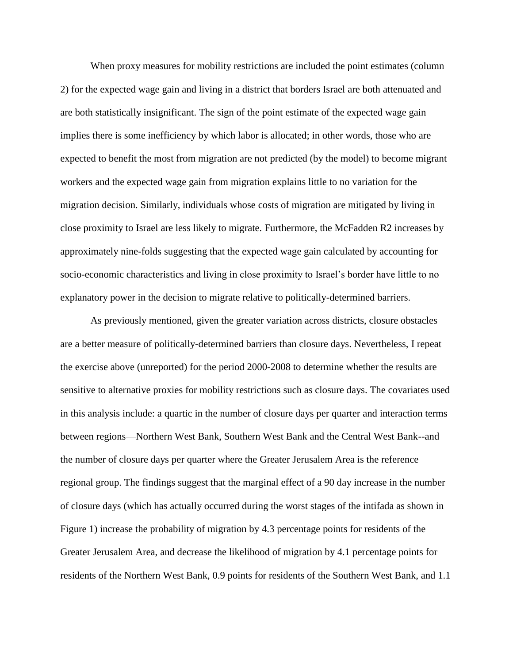When proxy measures for mobility restrictions are included the point estimates (column 2) for the expected wage gain and living in a district that borders Israel are both attenuated and are both statistically insignificant. The sign of the point estimate of the expected wage gain implies there is some inefficiency by which labor is allocated; in other words, those who are expected to benefit the most from migration are not predicted (by the model) to become migrant workers and the expected wage gain from migration explains little to no variation for the migration decision. Similarly, individuals whose costs of migration are mitigated by living in close proximity to Israel are less likely to migrate. Furthermore, the McFadden R2 increases by approximately nine-folds suggesting that the expected wage gain calculated by accounting for socio-economic characteristics and living in close proximity to Israel"s border have little to no explanatory power in the decision to migrate relative to politically-determined barriers.

As previously mentioned, given the greater variation across districts, closure obstacles are a better measure of politically-determined barriers than closure days. Nevertheless, I repeat the exercise above (unreported) for the period 2000-2008 to determine whether the results are sensitive to alternative proxies for mobility restrictions such as closure days. The covariates used in this analysis include: a quartic in the number of closure days per quarter and interaction terms between regions—Northern West Bank, Southern West Bank and the Central West Bank--and the number of closure days per quarter where the Greater Jerusalem Area is the reference regional group. The findings suggest that the marginal effect of a 90 day increase in the number of closure days (which has actually occurred during the worst stages of the intifada as shown in Figure 1) increase the probability of migration by 4.3 percentage points for residents of the Greater Jerusalem Area, and decrease the likelihood of migration by 4.1 percentage points for residents of the Northern West Bank, 0.9 points for residents of the Southern West Bank, and 1.1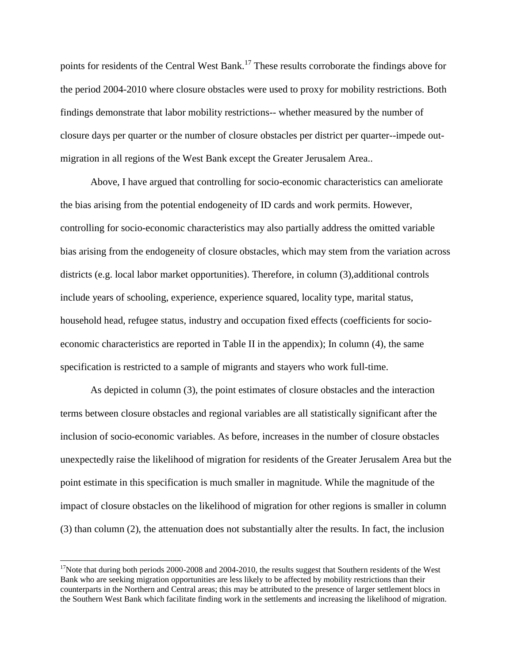points for residents of the Central West Bank.<sup>17</sup> These results corroborate the findings above for the period 2004-2010 where closure obstacles were used to proxy for mobility restrictions. Both findings demonstrate that labor mobility restrictions-- whether measured by the number of closure days per quarter or the number of closure obstacles per district per quarter--impede outmigration in all regions of the West Bank except the Greater Jerusalem Area..

Above, I have argued that controlling for socio-economic characteristics can ameliorate the bias arising from the potential endogeneity of ID cards and work permits. However, controlling for socio-economic characteristics may also partially address the omitted variable bias arising from the endogeneity of closure obstacles, which may stem from the variation across districts (e.g. local labor market opportunities). Therefore, in column (3), additional controls include years of schooling, experience, experience squared, locality type, marital status, household head, refugee status, industry and occupation fixed effects (coefficients for socioeconomic characteristics are reported in Table II in the appendix); In column (4), the same specification is restricted to a sample of migrants and stayers who work full-time.

As depicted in column (3), the point estimates of closure obstacles and the interaction terms between closure obstacles and regional variables are all statistically significant after the inclusion of socio-economic variables. As before, increases in the number of closure obstacles unexpectedly raise the likelihood of migration for residents of the Greater Jerusalem Area but the point estimate in this specification is much smaller in magnitude. While the magnitude of the impact of closure obstacles on the likelihood of migration for other regions is smaller in column (3) than column (2), the attenuation does not substantially alter the results. In fact, the inclusion

 $\overline{\phantom{a}}$ 

 $17$ Note that during both periods 2000-2008 and 2004-2010, the results suggest that Southern residents of the West Bank who are seeking migration opportunities are less likely to be affected by mobility restrictions than their counterparts in the Northern and Central areas; this may be attributed to the presence of larger settlement blocs in the Southern West Bank which facilitate finding work in the settlements and increasing the likelihood of migration.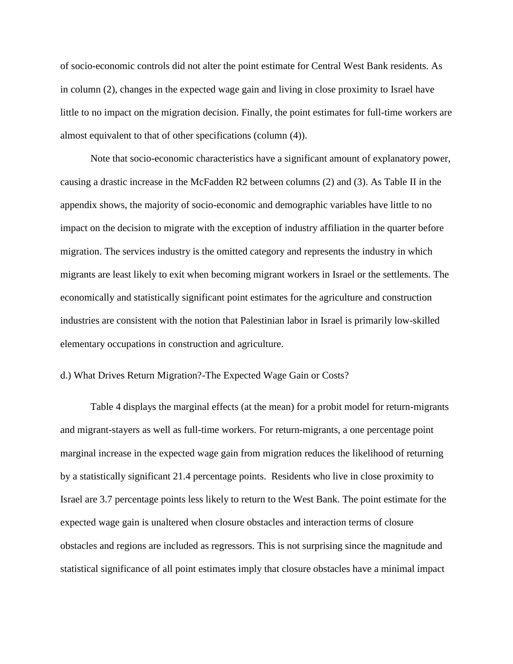of socio-economic controls did not alter the point estimate for Central West Bank residents. As in column (2), changes in the expected wage gain and living in close proximity to Israel have little to no impact on the migration decision. Finally, the point estimates for full-time workers are almost equivalent to that of other specifications (column (4)).

Note that socio-economic characteristics have a significant amount of explanatory power, causing a drastic increase in the McFadden R2 between columns (2) and (3). As Table II in the appendix shows, the majority of socio-economic and demographic variables have little to no impact on the decision to migrate with the exception of industry affiliation in the quarter before migration. The services industry is the omitted category and represents the industry in which migrants are least likely to exit when becoming migrant workers in Israel or the settlements. The economically and statistically significant point estimates for the agriculture and construction industries are consistent with the notion that Palestinian labor in Israel is primarily low-skilled elementary occupations in construction and agriculture.

#### d.) What Drives Return Migration?-The Expected Wage Gain or Costs?

Table 4 displays the marginal effects (at the mean) for a probit model for return-migrants and migrant-stayers as well as full-time workers. For return-migrants, a one percentage point marginal increase in the expected wage gain from migration reduces the likelihood of returning by a statistically significant 21.4 percentage points. Residents who live in close proximity to Israel are 3.7 percentage points less likely to return to the West Bank. The point estimate for the expected wage gain is unaltered when closure obstacles and interaction terms of closure obstacles and regions are included as regressors. This is not surprising since the magnitude and statistical significance of all point estimates imply that closure obstacles have a minimal impact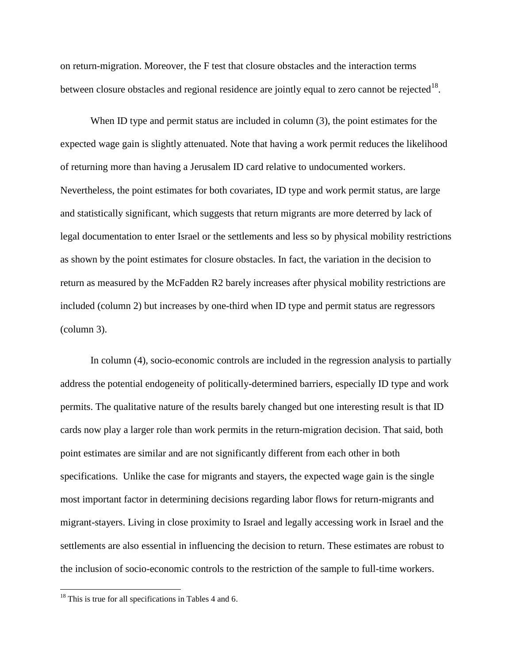on return-migration. Moreover, the F test that closure obstacles and the interaction terms between closure obstacles and regional residence are jointly equal to zero cannot be rejected  $18$ .

When ID type and permit status are included in column (3), the point estimates for the expected wage gain is slightly attenuated. Note that having a work permit reduces the likelihood of returning more than having a Jerusalem ID card relative to undocumented workers. Nevertheless, the point estimates for both covariates, ID type and work permit status, are large and statistically significant, which suggests that return migrants are more deterred by lack of legal documentation to enter Israel or the settlements and less so by physical mobility restrictions as shown by the point estimates for closure obstacles. In fact, the variation in the decision to return as measured by the McFadden R2 barely increases after physical mobility restrictions are included (column 2) but increases by one-third when ID type and permit status are regressors (column 3).

In column (4), socio-economic controls are included in the regression analysis to partially address the potential endogeneity of politically-determined barriers, especially ID type and work permits. The qualitative nature of the results barely changed but one interesting result is that ID cards now play a larger role than work permits in the return-migration decision. That said, both point estimates are similar and are not significantly different from each other in both specifications. Unlike the case for migrants and stayers, the expected wage gain is the single most important factor in determining decisions regarding labor flows for return-migrants and migrant-stayers. Living in close proximity to Israel and legally accessing work in Israel and the settlements are also essential in influencing the decision to return. These estimates are robust to the inclusion of socio-economic controls to the restriction of the sample to full-time workers.

 $\overline{\phantom{a}}$ 

 $18$  This is true for all specifications in Tables 4 and 6.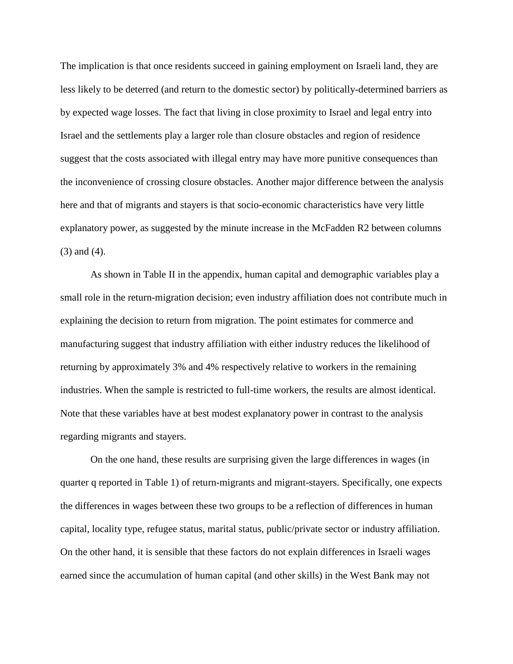The implication is that once residents succeed in gaining employment on Israeli land, they are less likely to be deterred (and return to the domestic sector) by politically-determined barriers as by expected wage losses. The fact that living in close proximity to Israel and legal entry into Israel and the settlements play a larger role than closure obstacles and region of residence suggest that the costs associated with illegal entry may have more punitive consequences than the inconvenience of crossing closure obstacles. Another major difference between the analysis here and that of migrants and stayers is that socio-economic characteristics have very little explanatory power, as suggested by the minute increase in the McFadden R2 between columns (3) and (4).

As shown in Table II in the appendix, human capital and demographic variables play a small role in the return-migration decision; even industry affiliation does not contribute much in explaining the decision to return from migration. The point estimates for commerce and manufacturing suggest that industry affiliation with either industry reduces the likelihood of returning by approximately 3% and 4% respectively relative to workers in the remaining industries. When the sample is restricted to full-time workers, the results are almost identical. Note that these variables have at best modest explanatory power in contrast to the analysis regarding migrants and stayers.

On the one hand, these results are surprising given the large differences in wages (in quarter q reported in Table 1) of return-migrants and migrant-stayers. Specifically, one expects the differences in wages between these two groups to be a reflection of differences in human capital, locality type, refugee status, marital status, public/private sector or industry affiliation. On the other hand, it is sensible that these factors do not explain differences in Israeli wages earned since the accumulation of human capital (and other skills) in the West Bank may not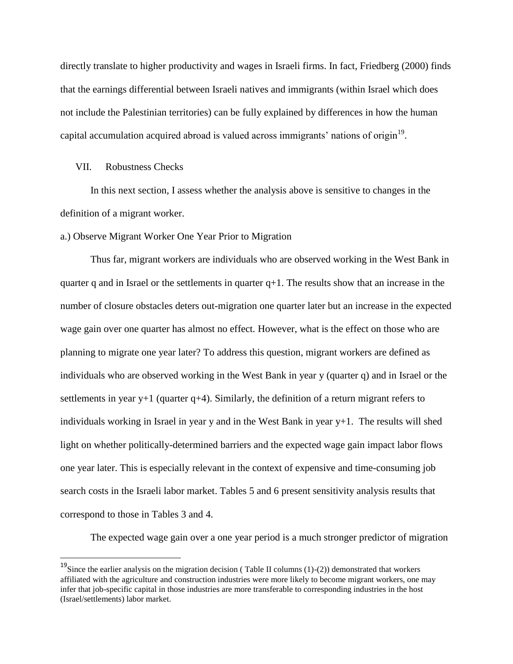directly translate to higher productivity and wages in Israeli firms. In fact, Friedberg (2000) finds that the earnings differential between Israeli natives and immigrants (within Israel which does not include the Palestinian territories) can be fully explained by differences in how the human capital accumulation acquired abroad is valued across immigrants' nations of origin<sup>19</sup>.

## VII. Robustness Checks

l

In this next section, I assess whether the analysis above is sensitive to changes in the definition of a migrant worker.

a.) Observe Migrant Worker One Year Prior to Migration

Thus far, migrant workers are individuals who are observed working in the West Bank in quarter q and in Israel or the settlements in quarter  $q+1$ . The results show that an increase in the number of closure obstacles deters out-migration one quarter later but an increase in the expected wage gain over one quarter has almost no effect. However, what is the effect on those who are planning to migrate one year later? To address this question, migrant workers are defined as individuals who are observed working in the West Bank in year y (quarter q) and in Israel or the settlements in year y+1 (quarter q+4). Similarly, the definition of a return migrant refers to individuals working in Israel in year y and in the West Bank in year y+1. The results will shed light on whether politically-determined barriers and the expected wage gain impact labor flows one year later. This is especially relevant in the context of expensive and time-consuming job search costs in the Israeli labor market. Tables 5 and 6 present sensitivity analysis results that correspond to those in Tables 3 and 4.

The expected wage gain over a one year period is a much stronger predictor of migration

<sup>&</sup>lt;sup>19</sup>Since the earlier analysis on the migration decision (Table II columns  $(1)-(2)$ ) demonstrated that workers affiliated with the agriculture and construction industries were more likely to become migrant workers, one may infer that job-specific capital in those industries are more transferable to corresponding industries in the host (Israel/settlements) labor market.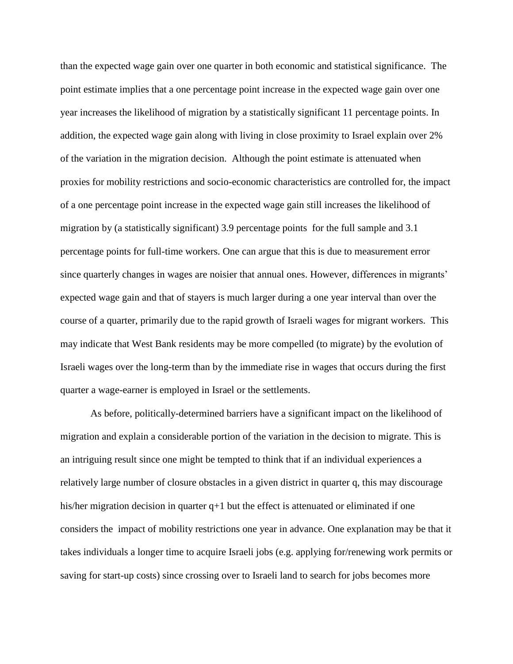than the expected wage gain over one quarter in both economic and statistical significance. The point estimate implies that a one percentage point increase in the expected wage gain over one year increases the likelihood of migration by a statistically significant 11 percentage points. In addition, the expected wage gain along with living in close proximity to Israel explain over 2% of the variation in the migration decision. Although the point estimate is attenuated when proxies for mobility restrictions and socio-economic characteristics are controlled for, the impact of a one percentage point increase in the expected wage gain still increases the likelihood of migration by (a statistically significant) 3.9 percentage points for the full sample and 3.1 percentage points for full-time workers. One can argue that this is due to measurement error since quarterly changes in wages are noisier that annual ones. However, differences in migrants' expected wage gain and that of stayers is much larger during a one year interval than over the course of a quarter, primarily due to the rapid growth of Israeli wages for migrant workers. This may indicate that West Bank residents may be more compelled (to migrate) by the evolution of Israeli wages over the long-term than by the immediate rise in wages that occurs during the first quarter a wage-earner is employed in Israel or the settlements.

As before, politically-determined barriers have a significant impact on the likelihood of migration and explain a considerable portion of the variation in the decision to migrate. This is an intriguing result since one might be tempted to think that if an individual experiences a relatively large number of closure obstacles in a given district in quarter q, this may discourage his/her migration decision in quarter  $q+1$  but the effect is attenuated or eliminated if one considers the impact of mobility restrictions one year in advance. One explanation may be that it takes individuals a longer time to acquire Israeli jobs (e.g. applying for/renewing work permits or saving for start-up costs) since crossing over to Israeli land to search for jobs becomes more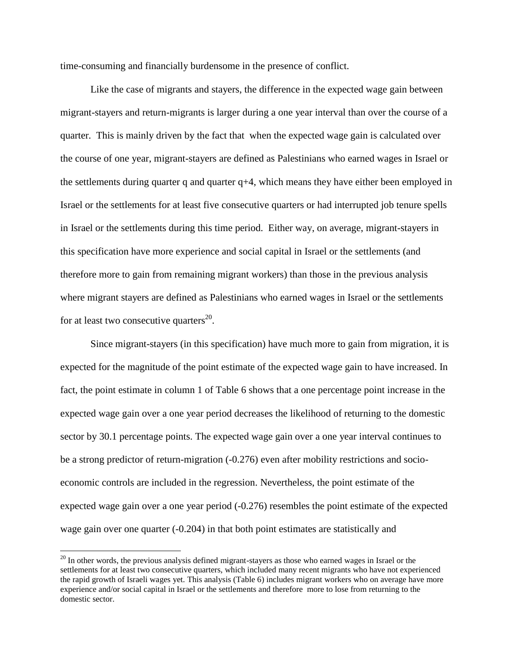time-consuming and financially burdensome in the presence of conflict.

Like the case of migrants and stayers, the difference in the expected wage gain between migrant-stayers and return-migrants is larger during a one year interval than over the course of a quarter. This is mainly driven by the fact that when the expected wage gain is calculated over the course of one year, migrant-stayers are defined as Palestinians who earned wages in Israel or the settlements during quarter q and quarter  $q+4$ , which means they have either been employed in Israel or the settlements for at least five consecutive quarters or had interrupted job tenure spells in Israel or the settlements during this time period. Either way, on average, migrant-stayers in this specification have more experience and social capital in Israel or the settlements (and therefore more to gain from remaining migrant workers) than those in the previous analysis where migrant stayers are defined as Palestinians who earned wages in Israel or the settlements for at least two consecutive quarters<sup>20</sup>.

Since migrant-stayers (in this specification) have much more to gain from migration, it is expected for the magnitude of the point estimate of the expected wage gain to have increased. In fact, the point estimate in column 1 of Table 6 shows that a one percentage point increase in the expected wage gain over a one year period decreases the likelihood of returning to the domestic sector by 30.1 percentage points. The expected wage gain over a one year interval continues to be a strong predictor of return-migration (-0.276) even after mobility restrictions and socioeconomic controls are included in the regression. Nevertheless, the point estimate of the expected wage gain over a one year period (-0.276) resembles the point estimate of the expected wage gain over one quarter (-0.204) in that both point estimates are statistically and

 $\overline{a}$ 

<sup>&</sup>lt;sup>20</sup> In other words, the previous analysis defined migrant-stayers as those who earned wages in Israel or the settlements for at least two consecutive quarters, which included many recent migrants who have not experienced the rapid growth of Israeli wages yet. This analysis (Table 6) includes migrant workers who on average have more experience and/or social capital in Israel or the settlements and therefore more to lose from returning to the domestic sector.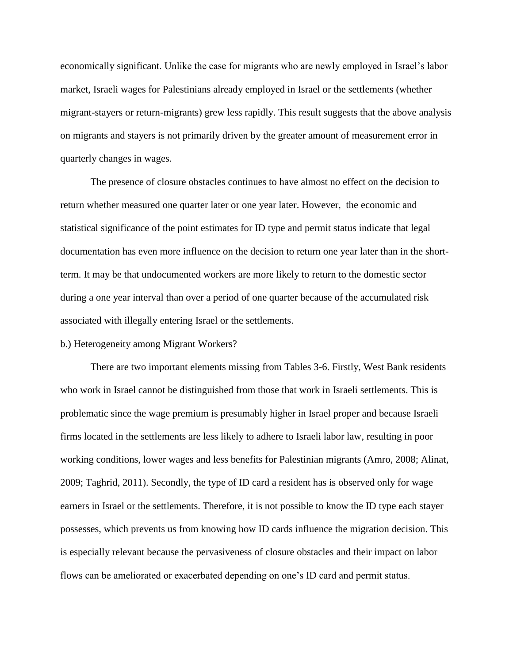economically significant. Unlike the case for migrants who are newly employed in Israel"s labor market, Israeli wages for Palestinians already employed in Israel or the settlements (whether migrant-stayers or return-migrants) grew less rapidly. This result suggests that the above analysis on migrants and stayers is not primarily driven by the greater amount of measurement error in quarterly changes in wages.

The presence of closure obstacles continues to have almost no effect on the decision to return whether measured one quarter later or one year later. However, the economic and statistical significance of the point estimates for ID type and permit status indicate that legal documentation has even more influence on the decision to return one year later than in the shortterm. It may be that undocumented workers are more likely to return to the domestic sector during a one year interval than over a period of one quarter because of the accumulated risk associated with illegally entering Israel or the settlements.

#### b.) Heterogeneity among Migrant Workers?

There are two important elements missing from Tables 3-6. Firstly, West Bank residents who work in Israel cannot be distinguished from those that work in Israeli settlements. This is problematic since the wage premium is presumably higher in Israel proper and because Israeli firms located in the settlements are less likely to adhere to Israeli labor law, resulting in poor working conditions, lower wages and less benefits for Palestinian migrants (Amro, 2008; Alinat, 2009; Taghrid, 2011). Secondly, the type of ID card a resident has is observed only for wage earners in Israel or the settlements. Therefore, it is not possible to know the ID type each stayer possesses, which prevents us from knowing how ID cards influence the migration decision. This is especially relevant because the pervasiveness of closure obstacles and their impact on labor flows can be ameliorated or exacerbated depending on one"s ID card and permit status.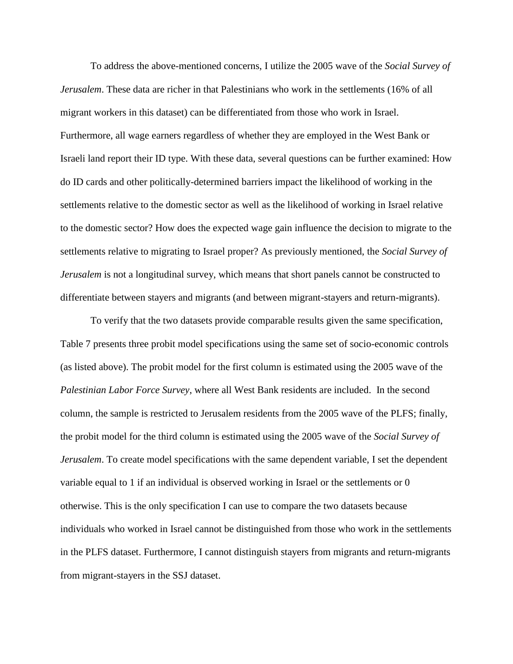To address the above-mentioned concerns, I utilize the 2005 wave of the *Social Survey of Jerusalem*. These data are richer in that Palestinians who work in the settlements (16% of all migrant workers in this dataset) can be differentiated from those who work in Israel. Furthermore, all wage earners regardless of whether they are employed in the West Bank or Israeli land report their ID type. With these data, several questions can be further examined: How do ID cards and other politically-determined barriers impact the likelihood of working in the settlements relative to the domestic sector as well as the likelihood of working in Israel relative to the domestic sector? How does the expected wage gain influence the decision to migrate to the settlements relative to migrating to Israel proper? As previously mentioned, the *Social Survey of Jerusalem* is not a longitudinal survey, which means that short panels cannot be constructed to differentiate between stayers and migrants (and between migrant-stayers and return-migrants).

To verify that the two datasets provide comparable results given the same specification, Table 7 presents three probit model specifications using the same set of socio-economic controls (as listed above). The probit model for the first column is estimated using the 2005 wave of the *Palestinian Labor Force Survey*, where all West Bank residents are included. In the second column, the sample is restricted to Jerusalem residents from the 2005 wave of the PLFS; finally, the probit model for the third column is estimated using the 2005 wave of the *Social Survey of Jerusalem*. To create model specifications with the same dependent variable, I set the dependent variable equal to 1 if an individual is observed working in Israel or the settlements or 0 otherwise. This is the only specification I can use to compare the two datasets because individuals who worked in Israel cannot be distinguished from those who work in the settlements in the PLFS dataset. Furthermore, I cannot distinguish stayers from migrants and return-migrants from migrant-stayers in the SSJ dataset.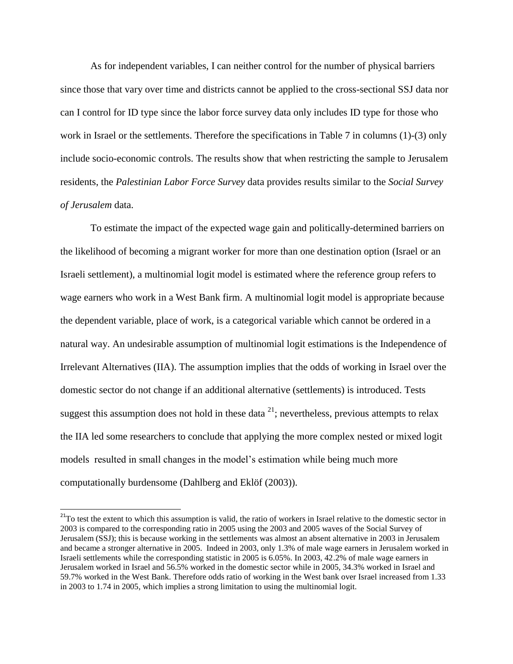As for independent variables, I can neither control for the number of physical barriers since those that vary over time and districts cannot be applied to the cross-sectional SSJ data nor can I control for ID type since the labor force survey data only includes ID type for those who work in Israel or the settlements. Therefore the specifications in Table 7 in columns (1)-(3) only include socio-economic controls. The results show that when restricting the sample to Jerusalem residents, the *Palestinian Labor Force Survey* data provides results similar to the *Social Survey of Jerusalem* data.

To estimate the impact of the expected wage gain and politically-determined barriers on the likelihood of becoming a migrant worker for more than one destination option (Israel or an Israeli settlement), a multinomial logit model is estimated where the reference group refers to wage earners who work in a West Bank firm. A multinomial logit model is appropriate because the dependent variable, place of work, is a categorical variable which cannot be ordered in a natural way. An undesirable assumption of multinomial logit estimations is the Independence of Irrelevant Alternatives (IIA). The assumption implies that the odds of working in Israel over the domestic sector do not change if an additional alternative (settlements) is introduced. Tests suggest this assumption does not hold in these data  $^{21}$ ; nevertheless, previous attempts to relax the IIA led some researchers to conclude that applying the more complex nested or mixed logit models resulted in small changes in the model's estimation while being much more computationally burdensome (Dahlberg and Eklöf (2003)).

 $\overline{a}$ 

 $2<sup>21</sup>$ To test the extent to which this assumption is valid, the ratio of workers in Israel relative to the domestic sector in 2003 is compared to the corresponding ratio in 2005 using the 2003 and 2005 waves of the Social Survey of Jerusalem (SSJ); this is because working in the settlements was almost an absent alternative in 2003 in Jerusalem and became a stronger alternative in 2005. Indeed in 2003, only 1.3% of male wage earners in Jerusalem worked in Israeli settlements while the corresponding statistic in 2005 is 6.05%. In 2003, 42.2% of male wage earners in Jerusalem worked in Israel and 56.5% worked in the domestic sector while in 2005, 34.3% worked in Israel and 59.7% worked in the West Bank. Therefore odds ratio of working in the West bank over Israel increased from 1.33 in 2003 to 1.74 in 2005, which implies a strong limitation to using the multinomial logit.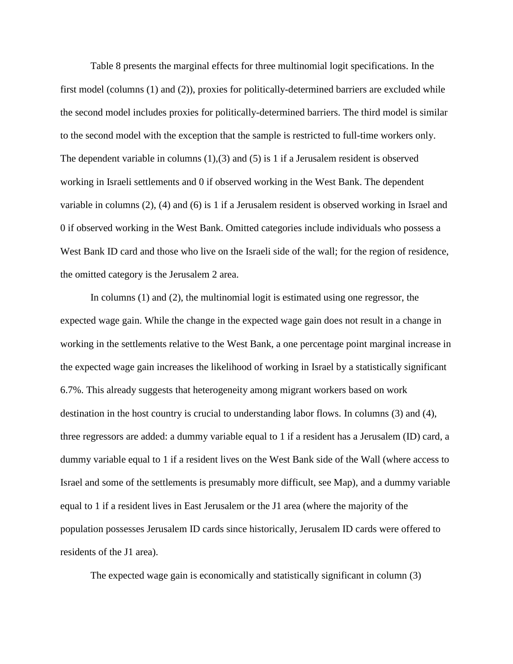Table 8 presents the marginal effects for three multinomial logit specifications. In the first model (columns (1) and (2)), proxies for politically-determined barriers are excluded while the second model includes proxies for politically-determined barriers. The third model is similar to the second model with the exception that the sample is restricted to full-time workers only. The dependent variable in columns  $(1)$ ,  $(3)$  and  $(5)$  is 1 if a Jerusalem resident is observed working in Israeli settlements and 0 if observed working in the West Bank. The dependent variable in columns (2), (4) and (6) is 1 if a Jerusalem resident is observed working in Israel and 0 if observed working in the West Bank. Omitted categories include individuals who possess a West Bank ID card and those who live on the Israeli side of the wall; for the region of residence, the omitted category is the Jerusalem 2 area.

In columns (1) and (2), the multinomial logit is estimated using one regressor, the expected wage gain. While the change in the expected wage gain does not result in a change in working in the settlements relative to the West Bank, a one percentage point marginal increase in the expected wage gain increases the likelihood of working in Israel by a statistically significant 6.7%. This already suggests that heterogeneity among migrant workers based on work destination in the host country is crucial to understanding labor flows. In columns (3) and (4), three regressors are added: a dummy variable equal to 1 if a resident has a Jerusalem (ID) card, a dummy variable equal to 1 if a resident lives on the West Bank side of the Wall (where access to Israel and some of the settlements is presumably more difficult, see Map), and a dummy variable equal to 1 if a resident lives in East Jerusalem or the J1 area (where the majority of the population possesses Jerusalem ID cards since historically, Jerusalem ID cards were offered to residents of the J1 area).

The expected wage gain is economically and statistically significant in column (3)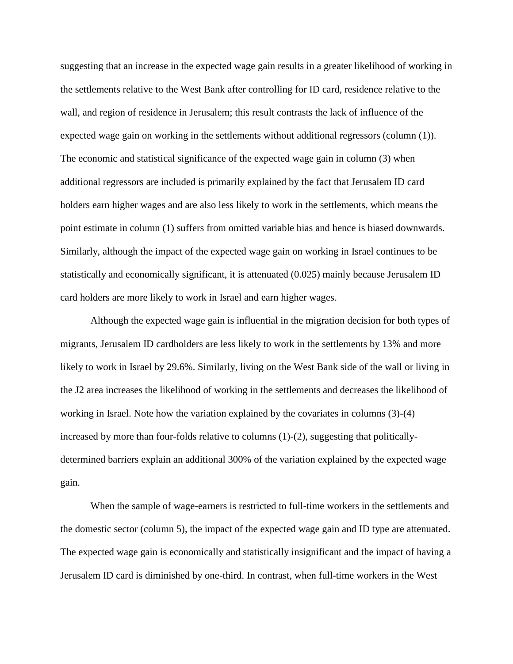suggesting that an increase in the expected wage gain results in a greater likelihood of working in the settlements relative to the West Bank after controlling for ID card, residence relative to the wall, and region of residence in Jerusalem; this result contrasts the lack of influence of the expected wage gain on working in the settlements without additional regressors (column (1)). The economic and statistical significance of the expected wage gain in column (3) when additional regressors are included is primarily explained by the fact that Jerusalem ID card holders earn higher wages and are also less likely to work in the settlements, which means the point estimate in column (1) suffers from omitted variable bias and hence is biased downwards. Similarly, although the impact of the expected wage gain on working in Israel continues to be statistically and economically significant, it is attenuated (0.025) mainly because Jerusalem ID card holders are more likely to work in Israel and earn higher wages.

Although the expected wage gain is influential in the migration decision for both types of migrants, Jerusalem ID cardholders are less likely to work in the settlements by 13% and more likely to work in Israel by 29.6%. Similarly, living on the West Bank side of the wall or living in the J2 area increases the likelihood of working in the settlements and decreases the likelihood of working in Israel. Note how the variation explained by the covariates in columns (3)-(4) increased by more than four-folds relative to columns (1)-(2), suggesting that politicallydetermined barriers explain an additional 300% of the variation explained by the expected wage gain.

When the sample of wage-earners is restricted to full-time workers in the settlements and the domestic sector (column 5), the impact of the expected wage gain and ID type are attenuated. The expected wage gain is economically and statistically insignificant and the impact of having a Jerusalem ID card is diminished by one-third. In contrast, when full-time workers in the West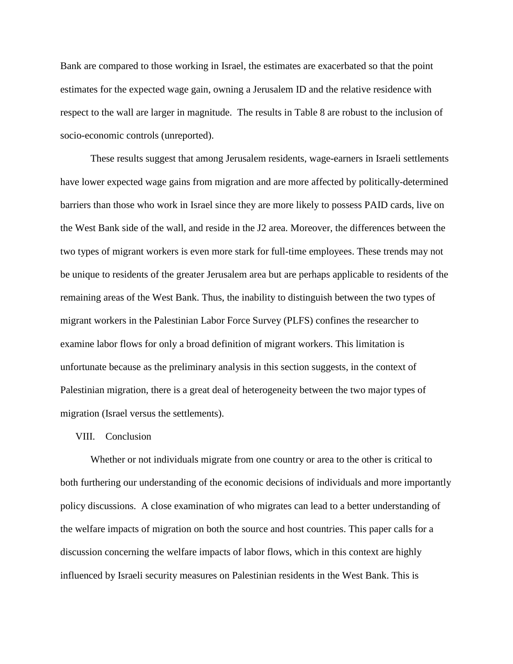Bank are compared to those working in Israel, the estimates are exacerbated so that the point estimates for the expected wage gain, owning a Jerusalem ID and the relative residence with respect to the wall are larger in magnitude. The results in Table 8 are robust to the inclusion of socio-economic controls (unreported).

These results suggest that among Jerusalem residents, wage-earners in Israeli settlements have lower expected wage gains from migration and are more affected by politically-determined barriers than those who work in Israel since they are more likely to possess PAID cards, live on the West Bank side of the wall, and reside in the J2 area. Moreover, the differences between the two types of migrant workers is even more stark for full-time employees. These trends may not be unique to residents of the greater Jerusalem area but are perhaps applicable to residents of the remaining areas of the West Bank. Thus, the inability to distinguish between the two types of migrant workers in the Palestinian Labor Force Survey (PLFS) confines the researcher to examine labor flows for only a broad definition of migrant workers. This limitation is unfortunate because as the preliminary analysis in this section suggests, in the context of Palestinian migration, there is a great deal of heterogeneity between the two major types of migration (Israel versus the settlements).

#### VIII. Conclusion

Whether or not individuals migrate from one country or area to the other is critical to both furthering our understanding of the economic decisions of individuals and more importantly policy discussions. A close examination of who migrates can lead to a better understanding of the welfare impacts of migration on both the source and host countries. This paper calls for a discussion concerning the welfare impacts of labor flows, which in this context are highly influenced by Israeli security measures on Palestinian residents in the West Bank. This is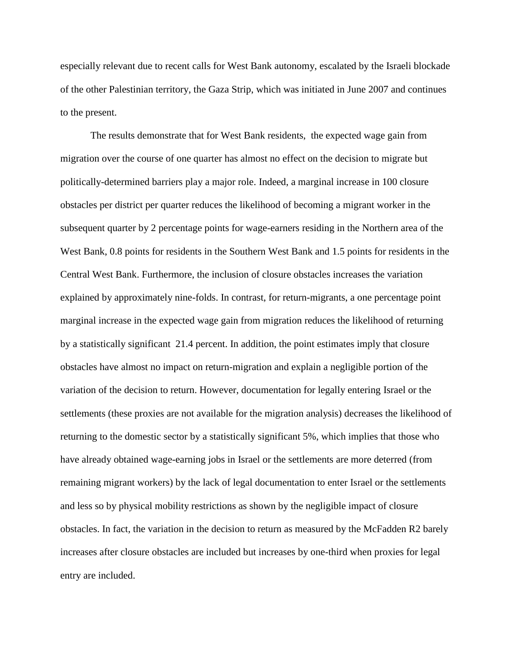especially relevant due to recent calls for West Bank autonomy, escalated by the Israeli blockade of the other Palestinian territory, the Gaza Strip, which was initiated in June 2007 and continues to the present.

The results demonstrate that for West Bank residents, the expected wage gain from migration over the course of one quarter has almost no effect on the decision to migrate but politically-determined barriers play a major role. Indeed, a marginal increase in 100 closure obstacles per district per quarter reduces the likelihood of becoming a migrant worker in the subsequent quarter by 2 percentage points for wage-earners residing in the Northern area of the West Bank, 0.8 points for residents in the Southern West Bank and 1.5 points for residents in the Central West Bank. Furthermore, the inclusion of closure obstacles increases the variation explained by approximately nine-folds. In contrast, for return-migrants, a one percentage point marginal increase in the expected wage gain from migration reduces the likelihood of returning by a statistically significant 21.4 percent. In addition, the point estimates imply that closure obstacles have almost no impact on return-migration and explain a negligible portion of the variation of the decision to return. However, documentation for legally entering Israel or the settlements (these proxies are not available for the migration analysis) decreases the likelihood of returning to the domestic sector by a statistically significant 5%, which implies that those who have already obtained wage-earning jobs in Israel or the settlements are more deterred (from remaining migrant workers) by the lack of legal documentation to enter Israel or the settlements and less so by physical mobility restrictions as shown by the negligible impact of closure obstacles. In fact, the variation in the decision to return as measured by the McFadden R2 barely increases after closure obstacles are included but increases by one-third when proxies for legal entry are included.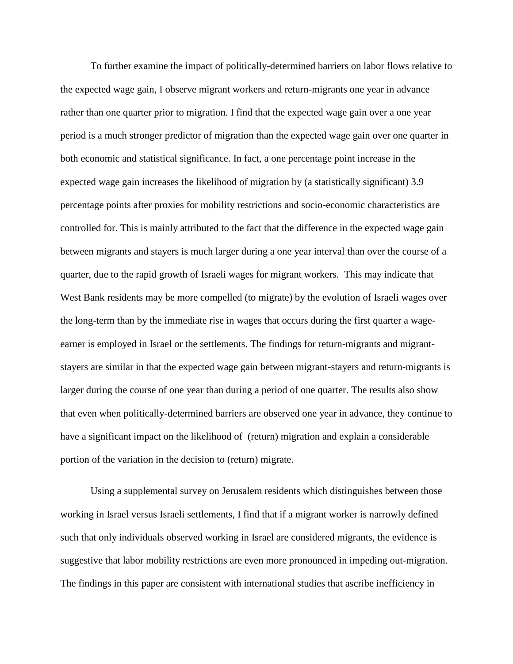To further examine the impact of politically-determined barriers on labor flows relative to the expected wage gain, I observe migrant workers and return-migrants one year in advance rather than one quarter prior to migration. I find that the expected wage gain over a one year period is a much stronger predictor of migration than the expected wage gain over one quarter in both economic and statistical significance. In fact, a one percentage point increase in the expected wage gain increases the likelihood of migration by (a statistically significant) 3.9 percentage points after proxies for mobility restrictions and socio-economic characteristics are controlled for. This is mainly attributed to the fact that the difference in the expected wage gain between migrants and stayers is much larger during a one year interval than over the course of a quarter, due to the rapid growth of Israeli wages for migrant workers. This may indicate that West Bank residents may be more compelled (to migrate) by the evolution of Israeli wages over the long-term than by the immediate rise in wages that occurs during the first quarter a wageearner is employed in Israel or the settlements. The findings for return-migrants and migrantstayers are similar in that the expected wage gain between migrant-stayers and return-migrants is larger during the course of one year than during a period of one quarter. The results also show that even when politically-determined barriers are observed one year in advance, they continue to have a significant impact on the likelihood of (return) migration and explain a considerable portion of the variation in the decision to (return) migrate.

Using a supplemental survey on Jerusalem residents which distinguishes between those working in Israel versus Israeli settlements, I find that if a migrant worker is narrowly defined such that only individuals observed working in Israel are considered migrants, the evidence is suggestive that labor mobility restrictions are even more pronounced in impeding out-migration. The findings in this paper are consistent with international studies that ascribe inefficiency in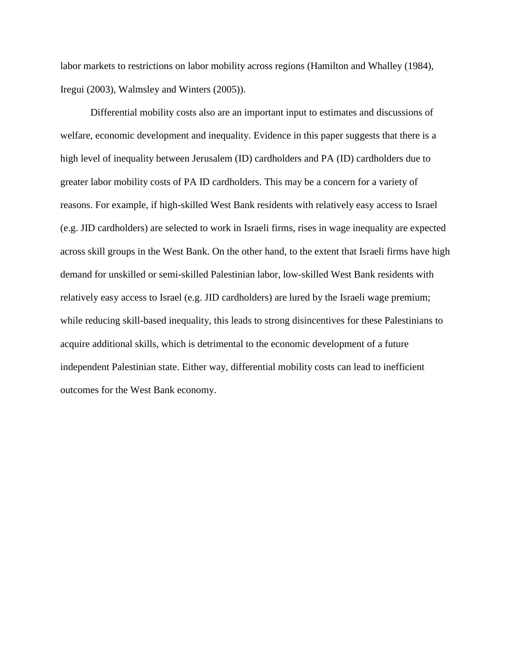labor markets to restrictions on labor mobility across regions (Hamilton and Whalley (1984), Iregui (2003), Walmsley and Winters (2005)).

Differential mobility costs also are an important input to estimates and discussions of welfare, economic development and inequality. Evidence in this paper suggests that there is a high level of inequality between Jerusalem (ID) cardholders and PA (ID) cardholders due to greater labor mobility costs of PA ID cardholders. This may be a concern for a variety of reasons. For example, if high-skilled West Bank residents with relatively easy access to Israel (e.g. JID cardholders) are selected to work in Israeli firms, rises in wage inequality are expected across skill groups in the West Bank. On the other hand, to the extent that Israeli firms have high demand for unskilled or semi-skilled Palestinian labor, low-skilled West Bank residents with relatively easy access to Israel (e.g. JID cardholders) are lured by the Israeli wage premium; while reducing skill-based inequality, this leads to strong disincentives for these Palestinians to acquire additional skills, which is detrimental to the economic development of a future independent Palestinian state. Either way, differential mobility costs can lead to inefficient outcomes for the West Bank economy.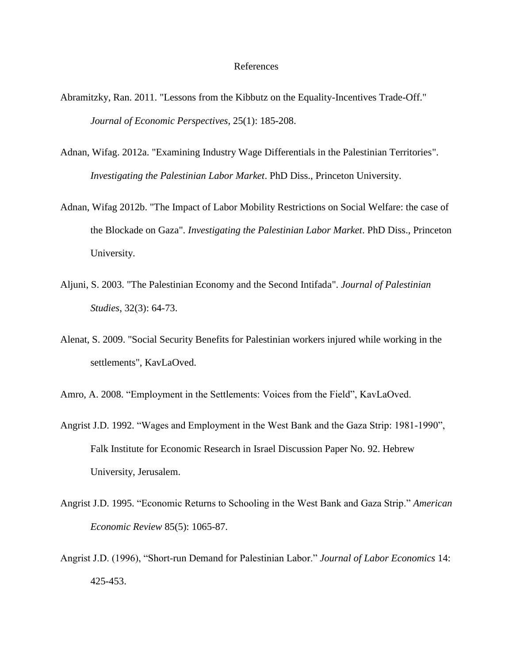#### References

- Abramitzky, Ran. 2011. "Lessons from the Kibbutz on the Equality-Incentives Trade-Off." *Journal of Economic Perspectives*, 25(1): 185-208.
- Adnan, Wifag. 2012a. "Examining Industry Wage Differentials in the Palestinian Territories". *Investigating the Palestinian Labor Market*. PhD Diss., Princeton University.
- Adnan, Wifag 2012b. "The Impact of Labor Mobility Restrictions on Social Welfare: the case of the Blockade on Gaza". *Investigating the Palestinian Labor Market*. PhD Diss., Princeton University.
- Aljuni, S. 2003. "The Palestinian Economy and the Second Intifada". *Journal of Palestinian Studies*, 32(3): 64-73.
- Alenat, S. 2009. "Social Security Benefits for Palestinian workers injured while working in the settlements", KavLaOved.

Amro, A. 2008. "Employment in the Settlements: Voices from the Field", KavLaOved.

- Angrist J.D. 1992. "Wages and Employment in the West Bank and the Gaza Strip: 1981-1990", Falk Institute for Economic Research in Israel Discussion Paper No. 92. Hebrew University, Jerusalem.
- Angrist J.D. 1995. "Economic Returns to Schooling in the West Bank and Gaza Strip." *American Economic Review* 85(5): 1065-87.
- Angrist J.D. (1996), "Short-run Demand for Palestinian Labor." *Journal of Labor Economics* 14: 425-453.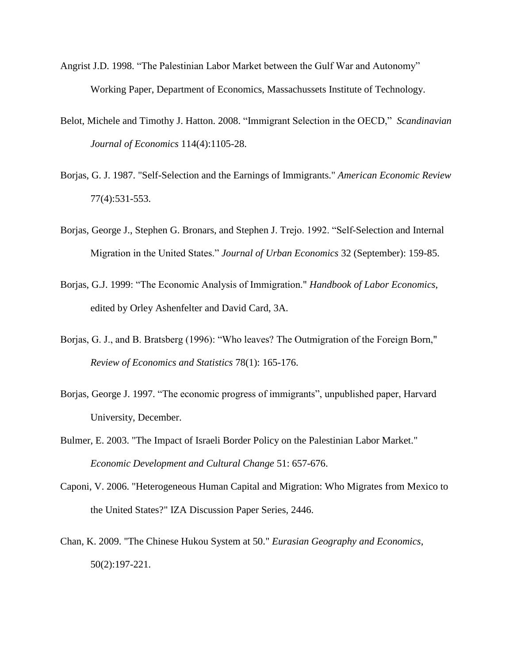- Angrist J.D. 1998. "The Palestinian Labor Market between the Gulf War and Autonomy" Working Paper, Department of Economics, Massachussets Institute of Technology.
- Belot, Michele and Timothy J. Hatton. 2008. "Immigrant Selection in the OECD," *Scandinavian Journal of Economics* 114(4):1105-28.
- Borjas, G. J. 1987. "Self-Selection and the Earnings of Immigrants." *American Economic Review* 77(4):531-553.
- Borjas, George J., Stephen G. Bronars, and Stephen J. Trejo. 1992. "Self-Selection and Internal Migration in the United States." *Journal of Urban Economics* 32 (September): 159-85.
- Borjas, G.J. 1999: "The Economic Analysis of Immigration." *Handbook of Labor Economics*, edited by Orley Ashenfelter and David Card, 3A.
- Borjas, G. J., and B. Bratsberg (1996): "Who leaves? The Outmigration of the Foreign Born," *Review of Economics and Statistics* 78(1): 165-176.
- Borjas, George J. 1997. "The economic progress of immigrants", unpublished paper, Harvard University, December.
- Bulmer, E. 2003. "The Impact of Israeli Border Policy on the Palestinian Labor Market." *Economic Development and Cultural Change* 51: 657-676.
- Caponi, V. 2006. "Heterogeneous Human Capital and Migration: Who Migrates from Mexico to the United States?" IZA Discussion Paper Series, 2446.
- Chan, K. 2009. "The Chinese Hukou System at 50." *Eurasian Geography and Economics*, 50(2):197-221.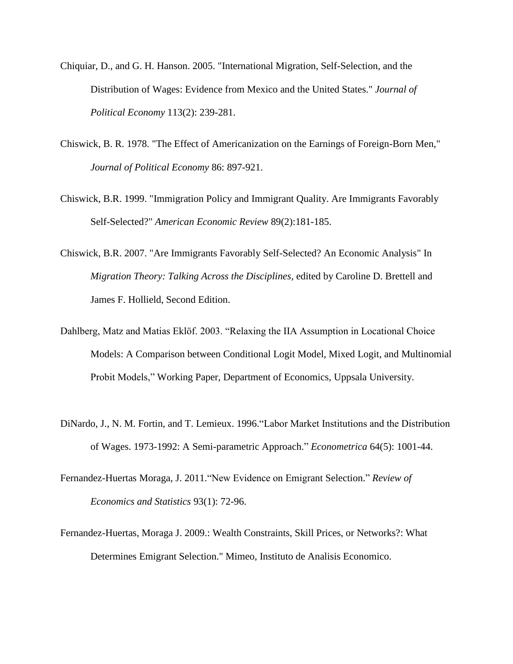- Chiquiar, D., and G. H. Hanson. 2005. "International Migration, Self-Selection, and the Distribution of Wages: Evidence from Mexico and the United States." *Journal of Political Economy* 113(2): 239-281.
- Chiswick, B. R. 1978. "The Effect of Americanization on the Earnings of Foreign-Born Men," *Journal of Political Economy* 86: 897-921.
- Chiswick, B.R. 1999. "Immigration Policy and Immigrant Quality. Are Immigrants Favorably Self-Selected?" *American Economic Review* 89(2):181-185.
- Chiswick, B.R. 2007. "Are Immigrants Favorably Self-Selected? An Economic Analysis" In *Migration Theory: Talking Across the Disciplines*, edited by Caroline D. Brettell and James F. Hollield, Second Edition.
- Dahlberg, Matz and Matias Eklöf. 2003. "Relaxing the IIA Assumption in Locational Choice Models: A Comparison between Conditional Logit Model, Mixed Logit, and Multinomial Probit Models," Working Paper, Department of Economics, Uppsala University.
- DiNardo, J., N. M. Fortin, and T. Lemieux. 1996."Labor Market Institutions and the Distribution of Wages. 1973-1992: A Semi-parametric Approach." *Econometrica* 64(5): 1001-44.
- Fernandez-Huertas Moraga, J. 2011."New Evidence on Emigrant Selection." *Review of Economics and Statistics* 93(1): 72-96.
- Fernandez-Huertas, Moraga J. 2009.: Wealth Constraints, Skill Prices, or Networks?: What Determines Emigrant Selection." Mimeo, Instituto de Analisis Economico.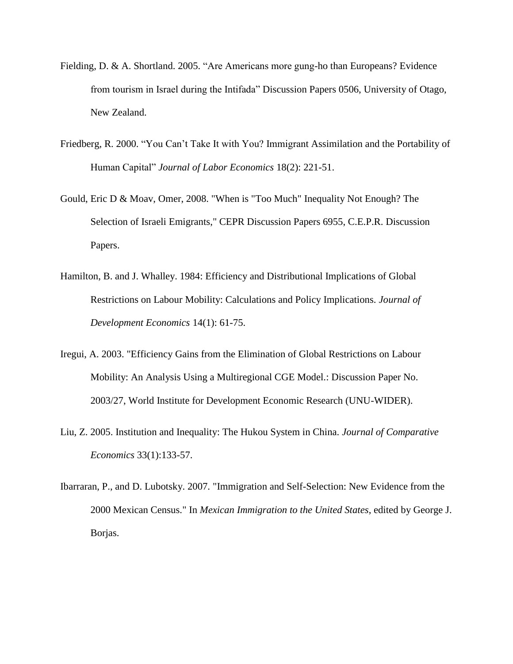- Fielding, D. & A. Shortland. 2005. "Are Americans more gung-ho than Europeans? Evidence from tourism in Israel during the Intifada" Discussion Papers 0506, University of Otago, New Zealand.
- Friedberg, R. 2000. "You Can"t Take It with You? Immigrant Assimilation and the Portability of Human Capital" *Journal of Labor Economics* 18(2): 221-51.
- Gould, Eric D & Moav, Omer, 2008. ["When is "Too Much" Inequality Not Enough? The](http://ideas.repec.org/p/cpr/ceprdp/6955.html)  [Selection of Israeli](http://ideas.repec.org/p/cpr/ceprdp/6955.html) Emigrants," [CEPR Discussion Papers](http://ideas.repec.org/s/cpr/ceprdp.html) 6955, C.E.P.R. Discussion Papers.
- Hamilton, B. and J. Whalley. 1984: Efficiency and Distributional Implications of Global Restrictions on Labour Mobility: Calculations and Policy Implications. *Journal of Development Economics* 14(1): 61-75.
- Iregui, A. 2003. "Efficiency Gains from the Elimination of Global Restrictions on Labour Mobility: An Analysis Using a Multiregional CGE Model.: Discussion Paper No. 2003/27, World Institute for Development Economic Research (UNU-WIDER).
- Liu, Z. 2005. Institution and Inequality: The Hukou System in China. *Journal of Comparative Economics* 33(1):133-57.
- Ibarraran, P., and D. Lubotsky. 2007. "Immigration and Self-Selection: New Evidence from the 2000 Mexican Census." In *Mexican Immigration to the United States*, edited by George J. Borjas.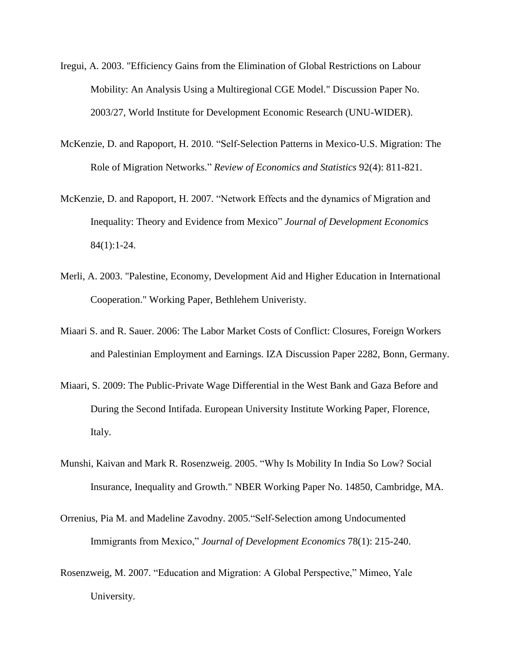- Iregui, A. 2003. "Efficiency Gains from the Elimination of Global Restrictions on Labour Mobility: An Analysis Using a Multiregional CGE Model." Discussion Paper No. 2003/27, World Institute for Development Economic Research (UNU-WIDER).
- McKenzie, D. and Rapoport, H. 2010. "Self-Selection Patterns in Mexico-U.S. Migration: The Role of Migration Networks." *Review of Economics and Statistics* 92(4): 811-821.
- McKenzie, D. and Rapoport, H. 2007. "Network Effects and the dynamics of Migration and Inequality: Theory and Evidence from Mexico" *Journal of Development Economics* 84(1):1-24.
- Merli, A. 2003. "Palestine, Economy, Development Aid and Higher Education in International Cooperation." Working Paper, Bethlehem Univeristy.
- Miaari S. and R. Sauer. 2006: The Labor Market Costs of Conflict: Closures, Foreign Workers and Palestinian Employment and Earnings. IZA Discussion Paper 2282, Bonn, Germany.
- Miaari, S. 2009: The Public-Private Wage Differential in the West Bank and Gaza Before and During the Second Intifada. European University Institute Working Paper, Florence, Italy.
- Munshi, Kaivan and Mark R. Rosenzweig. 2005. "Why Is Mobility In India So Low? Social Insurance, Inequality and Growth." NBER Working Paper No. 14850, Cambridge, MA.
- Orrenius, Pia M. and Madeline Zavodny. 2005."Self-Selection among Undocumented Immigrants from Mexico," *Journal of Development Economics* 78(1): 215-240.
- Rosenzweig, M. 2007. "Education and Migration: A Global Perspective," Mimeo, Yale University.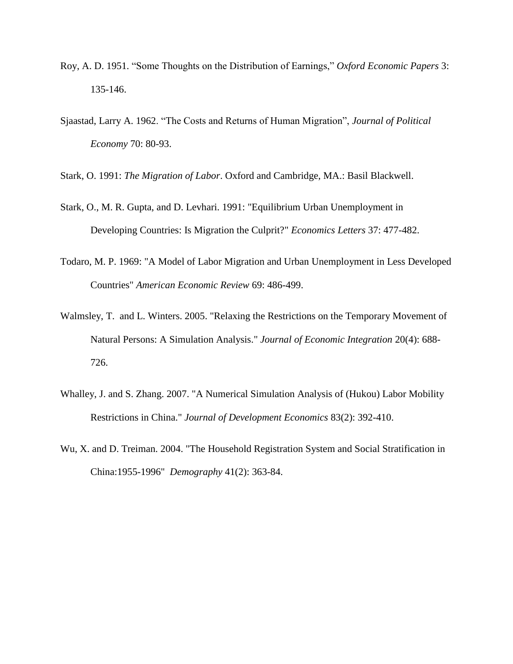- Roy, A. D. 1951. "Some Thoughts on the Distribution of Earnings," *Oxford Economic Papers* 3: 135-146.
- Sjaastad, Larry A. 1962. "The Costs and Returns of Human Migration", *Journal of Political Economy* 70: 80-93.
- Stark, O. 1991: *The Migration of Labor*. Oxford and Cambridge, MA.: Basil Blackwell.
- Stark, O., M. R. Gupta, and D. Levhari. 1991: "Equilibrium Urban Unemployment in Developing Countries: Is Migration the Culprit?" *Economics Letters* 37: 477-482.
- Todaro, M. P. 1969: "A Model of Labor Migration and Urban Unemployment in Less Developed Countries" *American Economic Review* 69: 486-499.
- Walmsley, T. and L. Winters. 2005. "Relaxing the Restrictions on the Temporary Movement of Natural Persons: A Simulation Analysis." *Journal of Economic Integration* 20(4): 688- 726.
- Whalley, J. and S. Zhang. 2007. "A Numerical Simulation Analysis of (Hukou) Labor Mobility Restrictions in China." *Journal of Development Economics* 83(2): 392-410.
- Wu, X. and D. Treiman. 2004. "The Household Registration System and Social Stratification in China:1955-1996" *Demography* 41(2): 363-84.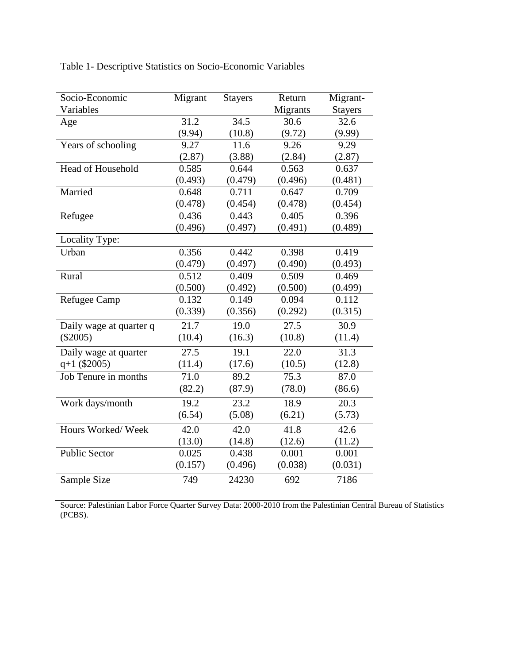| Socio-Economic          | Migrant           | <b>Stayers</b> | Return            | Migrant-       |
|-------------------------|-------------------|----------------|-------------------|----------------|
| Variables               |                   |                | Migrants          | <b>Stayers</b> |
| Age                     | 31.2              | 34.5           | 30.6              | 32.6           |
|                         | (9.94)            | (10.8)         | (9.72)            | (9.99)         |
| Years of schooling      | 9.27              | 11.6           | 9.26              | 9.29           |
|                         | (2.87)            | (3.88)         | (2.84)            | (2.87)         |
| Head of Household       | 0.585             | 0.644          | 0.563             | 0.637          |
|                         | (0.493)           | (0.479)        | (0.496)           | (0.481)        |
| Married                 | 0.648             | 0.711          | 0.647             | 0.709          |
|                         | (0.478)           | (0.454)        | (0.478)           | (0.454)        |
| Refugee                 | 0.436             | 0.443          | 0.405             | 0.396          |
|                         | (0.496)           | (0.497)        | (0.491)           | (0.489)        |
| Locality Type:          |                   |                |                   |                |
| Urban                   | 0.356             | 0.442          | 0.398             | 0.419          |
|                         | (0.479)           | (0.497)        | (0.490)           | (0.493)        |
| Rural                   | 0.512             | 0.409          | 0.509             | 0.469          |
|                         | (0.500)           | (0.492)        | (0.500)           | (0.499)        |
| <b>Refugee Camp</b>     | 0.132             | 0.149          | 0.094             | 0.112          |
|                         | (0.339)           | (0.356)        | (0.292)           | (0.315)        |
| Daily wage at quarter q | $\overline{21.7}$ | 19.0           | $\overline{27.5}$ | 30.9           |
| $(\$2005)$              | (10.4)            | (16.3)         | (10.8)            | (11.4)         |
| Daily wage at quarter   | 27.5              | 19.1           | 22.0              | 31.3           |
| $q+1$ (\$2005)          | (11.4)            | (17.6)         | (10.5)            | (12.8)         |
| Job Tenure in months    | 71.0              | 89.2           | 75.3              | 87.0           |
|                         | (82.2)            | (87.9)         | (78.0)            | (86.6)         |
| Work days/month         | 19.2              | 23.2           | 18.9              | 20.3           |
|                         | (6.54)            | (5.08)         | (6.21)            | (5.73)         |
| Hours Worked/Week       | 42.0              | 42.0           | 41.8              | 42.6           |
|                         | (13.0)            | (14.8)         | (12.6)            | (11.2)         |
| <b>Public Sector</b>    | 0.025             | 0.438          | 0.001             | 0.001          |
|                         | (0.157)           | (0.496)        | (0.038)           | (0.031)        |
| Sample Size             | 749               | 24230          | 692               | 7186           |

Table 1- Descriptive Statistics on Socio-Economic Variables

Source: Palestinian Labor Force Quarter Survey Data: 2000-2010 from the Palestinian Central Bureau of Statistics (PCBS).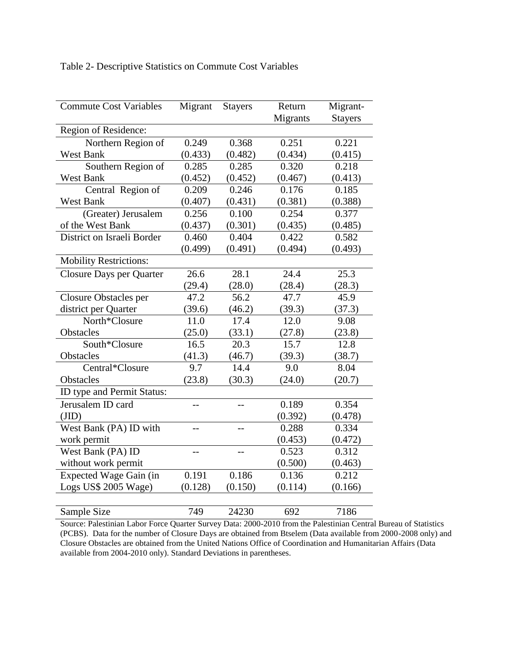Table 2- Descriptive Statistics on Commute Cost Variables

| <b>Commute Cost Variables</b> | Migrant        | <b>Stayers</b> | Return   | Migrant-       |
|-------------------------------|----------------|----------------|----------|----------------|
|                               |                |                | Migrants | <b>Stayers</b> |
| Region of Residence:          |                |                |          |                |
| Northern Region of            | 0.249          | 0.368          | 0.251    | 0.221          |
| <b>West Bank</b>              | (0.433)        | (0.482)        | (0.434)  | (0.415)        |
| Southern Region of            | 0.285          | 0.285          | 0.320    | 0.218          |
| <b>West Bank</b>              | (0.452)        | (0.452)        | (0.467)  | (0.413)        |
| Central Region of             | 0.209          | 0.246          | 0.176    | 0.185          |
| <b>West Bank</b>              | (0.407)        | (0.431)        | (0.381)  | (0.388)        |
| (Greater) Jerusalem           | 0.256          | 0.100          | 0.254    | 0.377          |
| of the West Bank              | (0.437)        | (0.301)        | (0.435)  | (0.485)        |
| District on Israeli Border    | 0.460          | 0.404          | 0.422    | 0.582          |
|                               | (0.499)        | (0.491)        | (0.494)  | (0.493)        |
| <b>Mobility Restrictions:</b> |                |                |          |                |
| Closure Days per Quarter      | 26.6           | 28.1           | 24.4     | 25.3           |
|                               | (29.4)         | (28.0)         | (28.4)   | (28.3)         |
| Closure Obstacles per         | 47.2           | 56.2           | 47.7     | 45.9           |
| district per Quarter          | (39.6)         | (46.2)         | (39.3)   | (37.3)         |
| North*Closure                 | 11.0           | 17.4           | 12.0     | 9.08           |
| Obstacles                     | (25.0)         | (33.1)         | (27.8)   | (23.8)         |
| South*Closure                 | 16.5           | 20.3           | 15.7     | 12.8           |
| Obstacles                     | (41.3)         | (46.7)         | (39.3)   | (38.7)         |
| Central*Closure               | 9.7            | 14.4           | 9.0      | 8.04           |
| Obstacles                     | (23.8)         | (30.3)         | (24.0)   | (20.7)         |
| ID type and Permit Status:    |                |                |          |                |
| Jerusalem ID card             |                |                | 0.189    | 0.354          |
| (JID)                         |                |                | (0.392)  | (0.478)        |
| West Bank (PA) ID with        | $-$            | $-$            | 0.288    | 0.334          |
| work permit                   |                |                | (0.453)  | (0.472)        |
| West Bank (PA) ID             | $\overline{a}$ | $-$            | 0.523    | 0.312          |
| without work permit           |                |                | (0.500)  | (0.463)        |
| Expected Wage Gain (in        | 0.191          | 0.186          | 0.136    | 0.212          |
| Logs US\$ 2005 Wage)          | (0.128)        | (0.150)        | (0.114)  | (0.166)        |
|                               |                |                |          |                |
| <b>Sample Size</b>            | 749            | 24230          | 692      | 7186           |

Source: Palestinian Labor Force Quarter Survey Data: 2000-2010 from the Palestinian Central Bureau of Statistics (PCBS). Data for the number of Closure Days are obtained from Btselem (Data available from 2000-2008 only) and Closure Obstacles are obtained from the United Nations Office of Coordination and Humanitarian Affairs (Data available from 2004-2010 only). Standard Deviations in parentheses.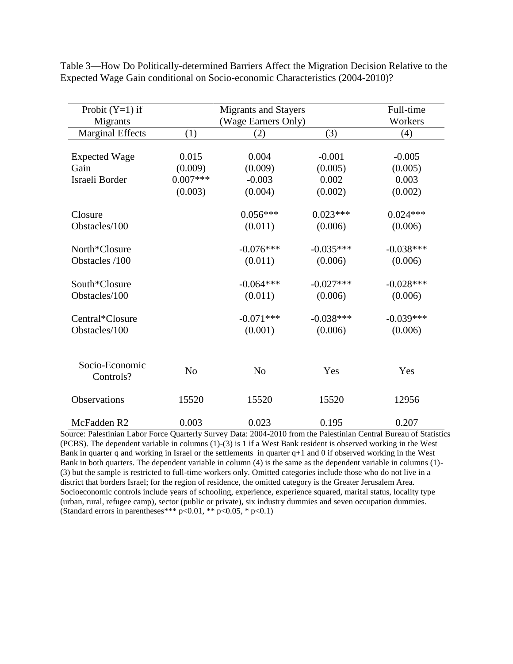| Probit $(Y=1)$ if       |                | <b>Migrants and Stayers</b> |             |             |  |
|-------------------------|----------------|-----------------------------|-------------|-------------|--|
| Migrants                |                | (Wage Earners Only)         |             |             |  |
| <b>Marginal Effects</b> | (1)            | (2)                         | (3)         | (4)         |  |
|                         |                |                             |             |             |  |
| <b>Expected Wage</b>    | 0.015          | 0.004                       | $-0.001$    | $-0.005$    |  |
| Gain                    | (0.009)        | (0.009)                     | (0.005)     | (0.005)     |  |
| Israeli Border          | $0.007***$     | $-0.003$                    | 0.002       | 0.003       |  |
|                         | (0.003)        | (0.004)                     | (0.002)     | (0.002)     |  |
|                         |                |                             |             |             |  |
| Closure                 |                | $0.056***$                  | $0.023***$  | $0.024***$  |  |
| Obstacles/100           |                | (0.011)                     | (0.006)     | (0.006)     |  |
|                         |                |                             |             |             |  |
| North*Closure           |                | $-0.076***$                 | $-0.035***$ | $-0.038***$ |  |
| Obstacles /100          |                | (0.011)                     | (0.006)     | (0.006)     |  |
|                         |                |                             |             |             |  |
| South*Closure           |                | $-0.064***$                 | $-0.027***$ | $-0.028***$ |  |
| Obstacles/100           |                | (0.011)                     | (0.006)     | (0.006)     |  |
|                         |                |                             |             |             |  |
| Central*Closure         |                | $-0.071***$                 | $-0.038***$ | $-0.039***$ |  |
| Obstacles/100           |                | (0.001)                     | (0.006)     | (0.006)     |  |
|                         |                |                             |             |             |  |
|                         |                |                             |             |             |  |
| Socio-Economic          | N <sub>o</sub> | N <sub>o</sub>              | Yes         | Yes         |  |
| Controls?               |                |                             |             |             |  |
| Observations            | 15520          | 15520                       | 15520       | 12956       |  |
|                         |                |                             |             |             |  |
| McFadden R2             | 0.003          | 0.023                       | 0.195       | 0.207       |  |

Table 3—How Do Politically-determined Barriers Affect the Migration Decision Relative to the Expected Wage Gain conditional on Socio-economic Characteristics (2004-2010)?

Source: Palestinian Labor Force Quarterly Survey Data: 2004-2010 from the Palestinian Central Bureau of Statistics (PCBS). The dependent variable in columns (1)-(3) is 1 if a West Bank resident is observed working in the West Bank in quarter q and working in Israel or the settlements in quarter  $q+1$  and 0 if observed working in the West Bank in both quarters. The dependent variable in column (4) is the same as the dependent variable in columns (1)- (3) but the sample is restricted to full-time workers only. Omitted categories include those who do not live in a district that borders Israel; for the region of residence, the omitted category is the Greater Jerusalem Area. Socioeconomic controls include years of schooling, experience, experience squared, marital status, locality type (urban, rural, refugee camp), sector (public or private), six industry dummies and seven occupation dummies. (Standard errors in parentheses\*\*\*  $p < 0.01$ , \*\*  $p < 0.05$ , \*  $p < 0.1$ )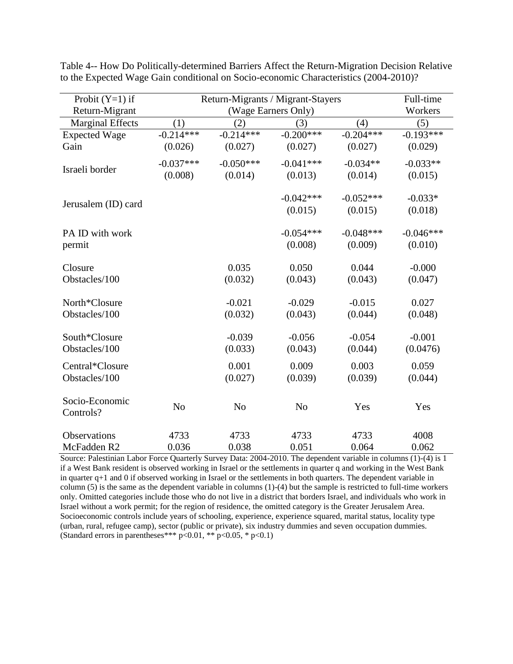| Full-time   |                                                                  |                                                                                                                |                                                                                                                                                                                |                                                                                                                                                                                   |  |  |
|-------------|------------------------------------------------------------------|----------------------------------------------------------------------------------------------------------------|--------------------------------------------------------------------------------------------------------------------------------------------------------------------------------|-----------------------------------------------------------------------------------------------------------------------------------------------------------------------------------|--|--|
|             |                                                                  |                                                                                                                |                                                                                                                                                                                |                                                                                                                                                                                   |  |  |
|             |                                                                  |                                                                                                                |                                                                                                                                                                                | Workers<br>(5)                                                                                                                                                                    |  |  |
|             |                                                                  |                                                                                                                |                                                                                                                                                                                | $-0.193***$                                                                                                                                                                       |  |  |
|             |                                                                  |                                                                                                                |                                                                                                                                                                                | (0.029)                                                                                                                                                                           |  |  |
|             |                                                                  |                                                                                                                |                                                                                                                                                                                |                                                                                                                                                                                   |  |  |
| $-0.037***$ | $-0.050***$                                                      | $-0.041***$                                                                                                    | $-0.034**$                                                                                                                                                                     | $-0.033**$                                                                                                                                                                        |  |  |
| (0.008)     | (0.014)                                                          | (0.013)                                                                                                        | (0.014)                                                                                                                                                                        | (0.015)                                                                                                                                                                           |  |  |
|             |                                                                  |                                                                                                                |                                                                                                                                                                                | $-0.033*$                                                                                                                                                                         |  |  |
|             |                                                                  | (0.015)                                                                                                        | (0.015)                                                                                                                                                                        | (0.018)                                                                                                                                                                           |  |  |
|             |                                                                  |                                                                                                                |                                                                                                                                                                                | $-0.046***$                                                                                                                                                                       |  |  |
|             |                                                                  |                                                                                                                |                                                                                                                                                                                |                                                                                                                                                                                   |  |  |
|             |                                                                  |                                                                                                                |                                                                                                                                                                                | (0.010)                                                                                                                                                                           |  |  |
|             | 0.035                                                            | 0.050                                                                                                          | 0.044                                                                                                                                                                          | $-0.000$                                                                                                                                                                          |  |  |
|             | (0.032)                                                          | (0.043)                                                                                                        | (0.043)                                                                                                                                                                        | (0.047)                                                                                                                                                                           |  |  |
|             |                                                                  |                                                                                                                |                                                                                                                                                                                | 0.027                                                                                                                                                                             |  |  |
|             | (0.032)                                                          | (0.043)                                                                                                        | (0.044)                                                                                                                                                                        | (0.048)                                                                                                                                                                           |  |  |
|             |                                                                  |                                                                                                                |                                                                                                                                                                                |                                                                                                                                                                                   |  |  |
|             |                                                                  |                                                                                                                |                                                                                                                                                                                | $-0.001$                                                                                                                                                                          |  |  |
|             |                                                                  |                                                                                                                |                                                                                                                                                                                | (0.0476)                                                                                                                                                                          |  |  |
|             | 0.001                                                            | 0.009                                                                                                          | 0.003                                                                                                                                                                          | 0.059                                                                                                                                                                             |  |  |
|             |                                                                  |                                                                                                                |                                                                                                                                                                                | (0.044)                                                                                                                                                                           |  |  |
|             |                                                                  |                                                                                                                |                                                                                                                                                                                |                                                                                                                                                                                   |  |  |
|             |                                                                  |                                                                                                                |                                                                                                                                                                                |                                                                                                                                                                                   |  |  |
|             |                                                                  |                                                                                                                |                                                                                                                                                                                | Yes                                                                                                                                                                               |  |  |
|             |                                                                  |                                                                                                                |                                                                                                                                                                                | 4008                                                                                                                                                                              |  |  |
|             |                                                                  |                                                                                                                |                                                                                                                                                                                | 0.062                                                                                                                                                                             |  |  |
|             | (1)<br>$-0.214***$<br>(0.026)<br>N <sub>o</sub><br>4733<br>0.036 | (2)<br>$-0.214***$<br>(0.027)<br>$-0.021$<br>$-0.039$<br>(0.033)<br>(0.027)<br>N <sub>o</sub><br>4733<br>0.038 | (Wage Earners Only)<br>(3)<br>$-0.200***$<br>(0.027)<br>$-0.042***$<br>$-0.054***$<br>(0.008)<br>$-0.029$<br>$-0.056$<br>(0.043)<br>(0.039)<br>N <sub>o</sub><br>4733<br>0.051 | Return-Migrants / Migrant-Stayers<br>(4)<br>$-0.204***$<br>(0.027)<br>$-0.052***$<br>$-0.048***$<br>(0.009)<br>$-0.015$<br>$-0.054$<br>(0.044)<br>(0.039)<br>Yes<br>4733<br>0.064 |  |  |

Table 4-- How Do Politically-determined Barriers Affect the Return-Migration Decision Relative to the Expected Wage Gain conditional on Socio-economic Characteristics (2004-2010)?

Source: Palestinian Labor Force Quarterly Survey Data: 2004-2010. The dependent variable in columns (1)-(4) is 1 if a West Bank resident is observed working in Israel or the settlements in quarter q and working in the West Bank in quarter q+1 and 0 if observed working in Israel or the settlements in both quarters. The dependent variable in column (5) is the same as the dependent variable in columns (1)-(4) but the sample is restricted to full-time workers only. Omitted categories include those who do not live in a district that borders Israel, and individuals who work in Israel without a work permit; for the region of residence, the omitted category is the Greater Jerusalem Area. Socioeconomic controls include years of schooling, experience, experience squared, marital status, locality type (urban, rural, refugee camp), sector (public or private), six industry dummies and seven occupation dummies. (Standard errors in parentheses\*\*\*  $p < 0.01$ , \*\*  $p < 0.05$ , \*  $p < 0.1$ )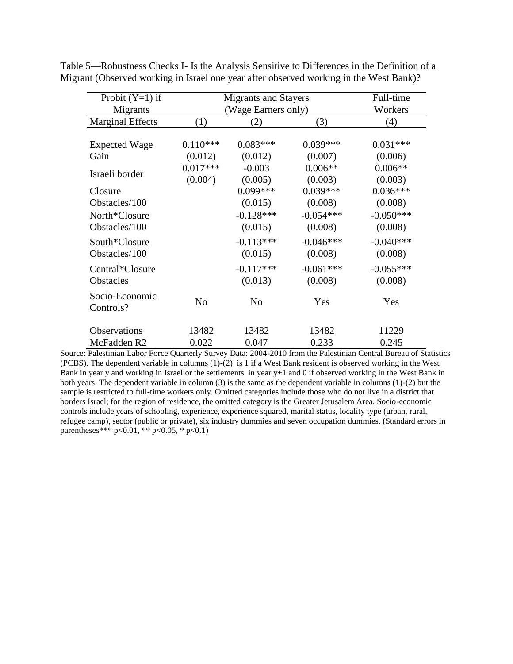| Probit $(Y=1)$ if           | <b>Migrants and Stayers</b> | Full-time           |             |             |  |  |
|-----------------------------|-----------------------------|---------------------|-------------|-------------|--|--|
| Migrants                    |                             | (Wage Earners only) |             |             |  |  |
| <b>Marginal Effects</b>     | (1)                         | (2)                 | (3)         | (4)         |  |  |
|                             |                             |                     |             |             |  |  |
| <b>Expected Wage</b>        | $0.110***$                  | $0.083***$          | $0.039***$  | $0.031***$  |  |  |
| Gain                        | (0.012)                     | (0.012)             | (0.007)     | (0.006)     |  |  |
| Israeli border              | $0.017***$                  | $-0.003$            | $0.006**$   | $0.006**$   |  |  |
|                             | (0.004)                     | (0.005)             | (0.003)     | (0.003)     |  |  |
| Closure                     |                             | $0.099***$          | $0.039***$  | $0.036***$  |  |  |
| Obstacles/100               |                             | (0.015)             | (0.008)     | (0.008)     |  |  |
| North*Closure               |                             | $-0.128***$         | $-0.054***$ | $-0.050***$ |  |  |
| Obstacles/100               |                             | (0.015)             | (0.008)     | (0.008)     |  |  |
| South*Closure               |                             | $-0.113***$         | $-0.046***$ | $-0.040***$ |  |  |
| Obstacles/100               |                             | (0.015)             | (0.008)     | (0.008)     |  |  |
| Central*Closure             |                             | $-0.117***$         | $-0.061***$ | $-0.055***$ |  |  |
| Obstacles                   |                             | (0.013)             | (0.008)     | (0.008)     |  |  |
| Socio-Economic<br>Controls? | N <sub>o</sub>              | N <sub>o</sub>      | Yes         | Yes         |  |  |
| Observations                | 13482                       | 13482               | 13482       | 11229       |  |  |
| McFadden R2                 | 0.022                       | 0.047               | 0.233       | 0.245       |  |  |

Table 5—Robustness Checks I- Is the Analysis Sensitive to Differences in the Definition of a Migrant (Observed working in Israel one year after observed working in the West Bank)?

Source: Palestinian Labor Force Quarterly Survey Data: 2004-2010 from the Palestinian Central Bureau of Statistics (PCBS). The dependent variable in columns (1)-(2) is 1 if a West Bank resident is observed working in the West Bank in year y and working in Israel or the settlements in year y+1 and 0 if observed working in the West Bank in both years. The dependent variable in column (3) is the same as the dependent variable in columns (1)-(2) but the sample is restricted to full-time workers only. Omitted categories include those who do not live in a district that borders Israel; for the region of residence, the omitted category is the Greater Jerusalem Area. Socio-economic controls include years of schooling, experience, experience squared, marital status, locality type (urban, rural, refugee camp), sector (public or private), six industry dummies and seven occupation dummies. (Standard errors in parentheses\*\*\*  $p < 0.01$ , \*\*  $p < 0.05$ , \*  $p < 0.1$ )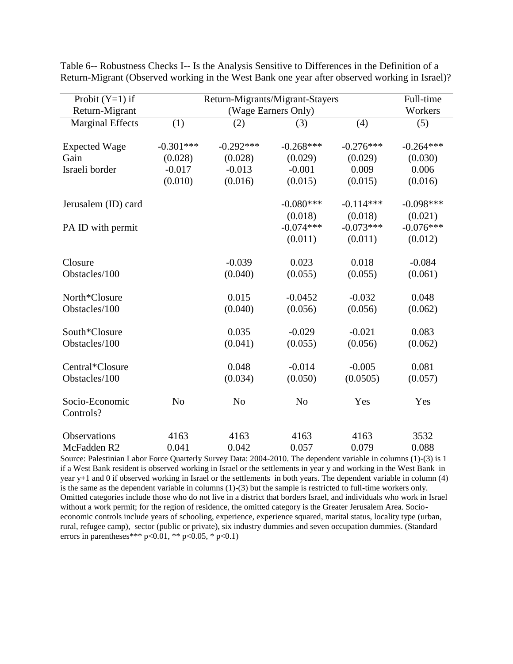| Probit $(Y=1)$ if           |                | Return-Migrants/Migrant-Stayers | Full-time<br>Workers |             |             |  |  |
|-----------------------------|----------------|---------------------------------|----------------------|-------------|-------------|--|--|
| Return-Migrant              |                | (Wage Earners Only)             |                      |             |             |  |  |
| Marginal Effects            | (1)            | (2)                             | (3)                  | (4)         | (5)         |  |  |
|                             |                |                                 |                      |             |             |  |  |
| <b>Expected Wage</b>        | $-0.301***$    | $-0.292***$                     | $-0.268***$          | $-0.276***$ | $-0.264***$ |  |  |
| Gain                        | (0.028)        | (0.028)                         | (0.029)              | (0.029)     | (0.030)     |  |  |
| Israeli border              | $-0.017$       | $-0.013$                        | $-0.001$             | 0.009       | 0.006       |  |  |
|                             | (0.010)        | (0.016)                         | (0.015)              | (0.015)     | (0.016)     |  |  |
| Jerusalem (ID) card         |                |                                 | $-0.080***$          | $-0.114***$ | $-0.098***$ |  |  |
|                             |                |                                 | (0.018)              | (0.018)     | (0.021)     |  |  |
| PA ID with permit           |                |                                 | $-0.074***$          | $-0.073***$ | $-0.076***$ |  |  |
|                             |                |                                 | (0.011)              | (0.011)     | (0.012)     |  |  |
| Closure                     |                | $-0.039$                        | 0.023                | 0.018       | $-0.084$    |  |  |
| Obstacles/100               |                | (0.040)                         | (0.055)              | (0.055)     | (0.061)     |  |  |
|                             |                |                                 |                      |             |             |  |  |
| North*Closure               |                | 0.015                           | $-0.0452$            | $-0.032$    | 0.048       |  |  |
| Obstacles/100               |                | (0.040)                         | (0.056)              | (0.056)     | (0.062)     |  |  |
| South*Closure               |                | 0.035                           | $-0.029$             | $-0.021$    | 0.083       |  |  |
| Obstacles/100               |                | (0.041)                         | (0.055)              | (0.056)     | (0.062)     |  |  |
| Central*Closure             |                | 0.048                           | $-0.014$             | $-0.005$    | 0.081       |  |  |
| Obstacles/100               |                | (0.034)                         | (0.050)              | (0.0505)    | (0.057)     |  |  |
|                             |                |                                 |                      |             |             |  |  |
| Socio-Economic<br>Controls? | N <sub>o</sub> | N <sub>o</sub>                  | N <sub>o</sub>       | Yes         | Yes         |  |  |
|                             |                |                                 |                      |             |             |  |  |
| <b>Observations</b>         | 4163           | 4163                            | 4163                 | 4163        | 3532        |  |  |
| McFadden R2                 | 0.041          | 0.042                           | 0.057                | 0.079       | 0.088       |  |  |

Table 6-- Robustness Checks I-- Is the Analysis Sensitive to Differences in the Definition of a Return-Migrant (Observed working in the West Bank one year after observed working in Israel)?

Source: Palestinian Labor Force Quarterly Survey Data: 2004-2010. The dependent variable in columns (1)-(3) is 1 if a West Bank resident is observed working in Israel or the settlements in year y and working in the West Bank in year y+1 and 0 if observed working in Israel or the settlements in both years. The dependent variable in column (4) is the same as the dependent variable in columns (1)-(3) but the sample is restricted to full-time workers only. Omitted categories include those who do not live in a district that borders Israel, and individuals who work in Israel without a work permit; for the region of residence, the omitted category is the Greater Jerusalem Area. Socioeconomic controls include years of schooling, experience, experience squared, marital status, locality type (urban, rural, refugee camp), sector (public or private), six industry dummies and seven occupation dummies. (Standard errors in parentheses\*\*\*  $p < 0.01$ , \*\*  $p < 0.05$ , \*  $p < 0.1$ )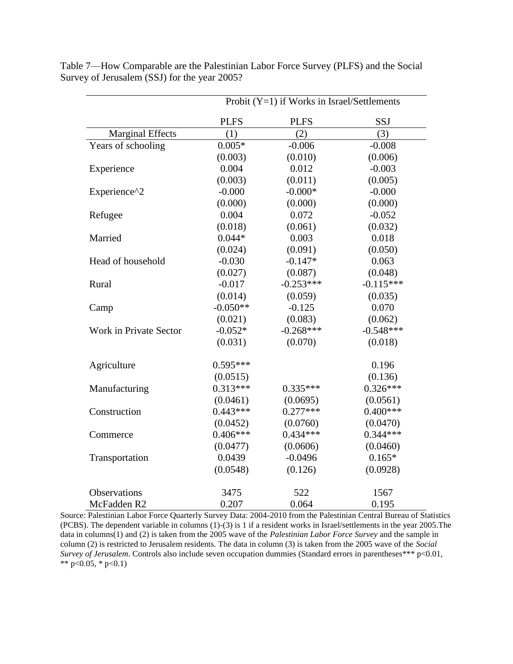|                         | Probit $(Y=1)$ if Works in Israel/Settlements |             |             |  |  |
|-------------------------|-----------------------------------------------|-------------|-------------|--|--|
|                         | <b>PLFS</b>                                   | <b>PLFS</b> | SSJ         |  |  |
| <b>Marginal Effects</b> | (1)                                           | (2)         | (3)         |  |  |
| Years of schooling      | $0.005*$                                      | $-0.006$    | $-0.008$    |  |  |
|                         | (0.003)                                       | (0.010)     | (0.006)     |  |  |
| Experience              | 0.004                                         | 0.012       | $-0.003$    |  |  |
|                         | (0.003)                                       | (0.011)     | (0.005)     |  |  |
| Experience^2            | $-0.000$                                      | $-0.000*$   | $-0.000$    |  |  |
|                         | (0.000)                                       | (0.000)     | (0.000)     |  |  |
| Refugee                 | 0.004                                         | 0.072       | $-0.052$    |  |  |
|                         | (0.018)                                       | (0.061)     | (0.032)     |  |  |
| Married                 | $0.044*$                                      | 0.003       | 0.018       |  |  |
|                         | (0.024)                                       | (0.091)     | (0.050)     |  |  |
| Head of household       | $-0.030$                                      | $-0.147*$   | 0.063       |  |  |
|                         | (0.027)                                       | (0.087)     | (0.048)     |  |  |
| Rural                   | $-0.017$                                      | $-0.253***$ | $-0.115***$ |  |  |
|                         | (0.014)                                       | (0.059)     | (0.035)     |  |  |
| Camp                    | $-0.050**$                                    | $-0.125$    | 0.070       |  |  |
|                         | (0.021)                                       | (0.083)     | (0.062)     |  |  |
| Work in Private Sector  | $-0.052*$                                     | $-0.268***$ | $-0.548***$ |  |  |
|                         | (0.031)                                       | (0.070)     | (0.018)     |  |  |
| Agriculture             | $0.595***$                                    |             | 0.196       |  |  |
|                         | (0.0515)                                      |             | (0.136)     |  |  |
| Manufacturing           | $0.313***$                                    | $0.335***$  | $0.326***$  |  |  |
|                         | (0.0461)                                      | (0.0695)    | (0.0561)    |  |  |
| Construction            | $0.443***$                                    | $0.277***$  | $0.400***$  |  |  |
|                         | (0.0452)                                      | (0.0760)    | (0.0470)    |  |  |
| Commerce                | $0.406***$                                    | $0.434***$  | $0.344***$  |  |  |
|                         | (0.0477)                                      | (0.0606)    | (0.0460)    |  |  |
| Transportation          | 0.0439                                        | $-0.0496$   | $0.165*$    |  |  |
|                         | (0.0548)                                      | (0.126)     | (0.0928)    |  |  |
| Observations            | 3475                                          | 522         | 1567        |  |  |
| McFadden R2             | 0.207                                         | 0.064       | 0.195       |  |  |

Table 7—How Comparable are the Palestinian Labor Force Survey (PLFS) and the Social Survey of Jerusalem (SSJ) for the year 2005?

Source: Palestinian Labor Force Quarterly Survey Data: 2004-2010 from the Palestinian Central Bureau of Statistics (PCBS). The dependent variable in columns (1)-(3) is 1 if a resident works in Israel/settlements in the year 2005.The data in columns(1) and (2) is taken from the 2005 wave of the *Palestinian Labor Force Survey* and the sample in column (2) is restricted to Jerusalem residents. The data in column (3) is taken from the 2005 wave of the *Social Survey of Jerusalem*. Controls also include seven occupation dummies (Standard errors in parentheses\*\*\* p<0.01, \*\*  $p < 0.05$ , \*  $p < 0.1$ )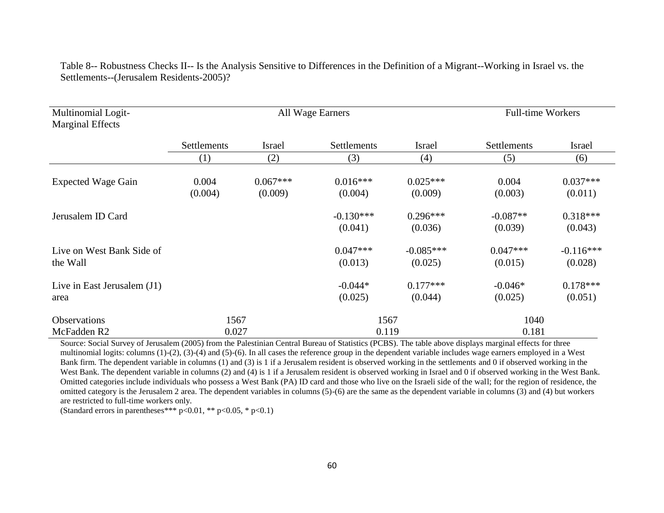Table 8-- Robustness Checks II-- Is the Analysis Sensitive to Differences in the Definition of a Migrant--Working in Israel vs. the Settlements--(Jerusalem Residents-2005)?

| Multinomial Logit-<br><b>Marginal Effects</b> | All Wage Earners |                       |                        |                        | <b>Full-time Workers</b> |                        |
|-----------------------------------------------|------------------|-----------------------|------------------------|------------------------|--------------------------|------------------------|
|                                               | Settlements      | <b>Israel</b>         | <b>Settlements</b>     | <b>Israel</b>          | <b>Settlements</b>       | Israel                 |
|                                               | (1)              | (2)                   | (3)                    | (4)                    | (5)                      | (6)                    |
| <b>Expected Wage Gain</b>                     | 0.004<br>(0.004) | $0.067***$<br>(0.009) | $0.016***$<br>(0.004)  | $0.025***$<br>(0.009)  | 0.004<br>(0.003)         | $0.037***$<br>(0.011)  |
| Jerusalem ID Card                             |                  |                       | $-0.130***$<br>(0.041) | $0.296***$<br>(0.036)  | $-0.087**$<br>(0.039)    | $0.318***$<br>(0.043)  |
| Live on West Bank Side of<br>the Wall         |                  |                       | $0.047***$<br>(0.013)  | $-0.085***$<br>(0.025) | $0.047***$<br>(0.015)    | $-0.116***$<br>(0.028) |
| Live in East Jerusalem (J1)<br>area           |                  |                       | $-0.044*$<br>(0.025)   | $0.177***$<br>(0.044)  | $-0.046*$<br>(0.025)     | $0.178***$<br>(0.051)  |
| <b>Observations</b><br>McFadden R2            | 1567<br>0.027    |                       | 1567<br>0.119          |                        | 1040<br>0.181            |                        |

Source: Social Survey of Jerusalem (2005) from the Palestinian Central Bureau of Statistics (PCBS). The table above displays marginal effects for three multinomial logits: columns (1)-(2), (3)-(4) and (5)-(6). In all cases the reference group in the dependent variable includes wage earners employed in a West Bank firm. The dependent variable in columns (1) and (3) is 1 if a Jerusalem resident is observed working in the settlements and 0 if observed working in the West Bank. The dependent variable in columns (2) and (4) is 1 if a Jerusalem resident is observed working in Israel and 0 if observed working in the West Bank. Omitted categories include individuals who possess a West Bank (PA) ID card and those who live on the Israeli side of the wall; for the region of residence, the omitted category is the Jerusalem 2 area. The dependent variables in columns (5)-(6) are the same as the dependent variable in columns (3) and (4) but workers are restricted to full-time workers only.

(Standard errors in parentheses\*\*\*  $p < 0.01$ , \*\*  $p < 0.05$ , \*  $p < 0.1$ )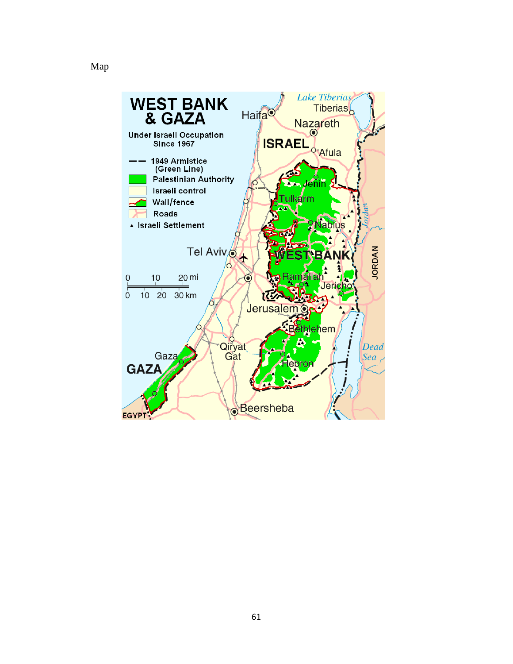## Map

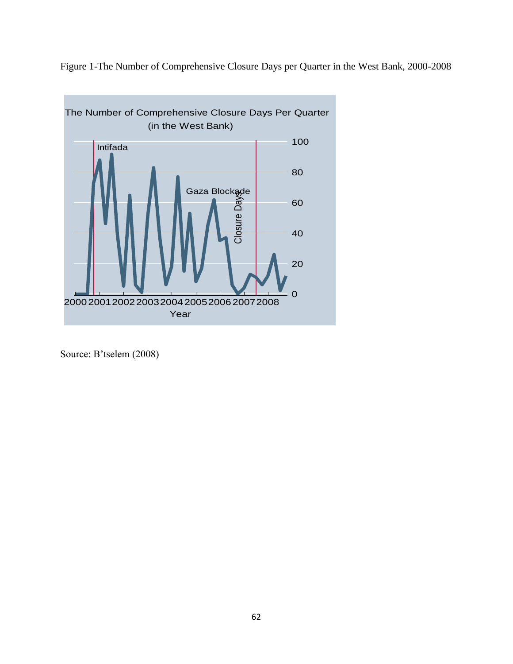Figure 1-The Number of Comprehensive Closure Days per Quarter in the West Bank, 2000-2008



Source: B'tselem (2008)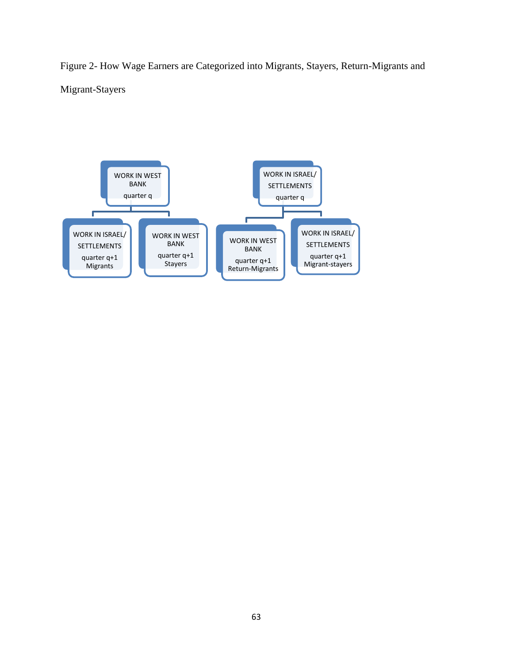Figure 2- How Wage Earners are Categorized into Migrants, Stayers, Return-Migrants and Migrant-Stayers

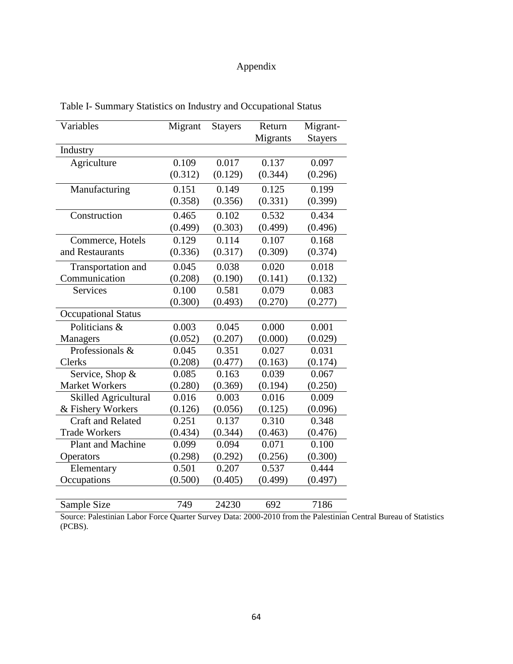# Appendix

| Variables                   | Migrant | <b>Stayers</b> | Return   | Migrant-       |
|-----------------------------|---------|----------------|----------|----------------|
|                             |         |                | Migrants | <b>Stayers</b> |
| Industry                    |         |                |          |                |
| Agriculture                 | 0.109   | 0.017          | 0.137    | 0.097          |
|                             | (0.312) | (0.129)        | (0.344)  | (0.296)        |
| Manufacturing               | 0.151   | 0.149          | 0.125    | 0.199          |
|                             | (0.358) | (0.356)        | (0.331)  | (0.399)        |
| Construction                | 0.465   | 0.102          | 0.532    | 0.434          |
|                             | (0.499) | (0.303)        | (0.499)  | (0.496)        |
| Commerce, Hotels            | 0.129   | 0.114          | 0.107    | 0.168          |
| and Restaurants             | (0.336) | (0.317)        | (0.309)  | (0.374)        |
| Transportation and          | 0.045   | 0.038          | 0.020    | 0.018          |
| Communication               | (0.208) | (0.190)        | (0.141)  | (0.132)        |
| <b>Services</b>             | 0.100   | 0.581          | 0.079    | 0.083          |
|                             | (0.300) | (0.493)        | (0.270)  | (0.277)        |
| <b>Occupational Status</b>  |         |                |          |                |
| Politicians &               | 0.003   | 0.045          | 0.000    | 0.001          |
| Managers                    | (0.052) | (0.207)        | (0.000)  | (0.029)        |
| Professionals &             | 0.045   | 0.351          | 0.027    | 0.031          |
| Clerks                      | (0.208) | (0.477)        | (0.163)  | (0.174)        |
| Service, Shop &             | 0.085   | 0.163          | 0.039    | 0.067          |
| <b>Market Workers</b>       | (0.280) | (0.369)        | (0.194)  | (0.250)        |
| <b>Skilled Agricultural</b> | 0.016   | 0.003          | 0.016    | 0.009          |
| & Fishery Workers           | (0.126) | (0.056)        | (0.125)  | (0.096)        |
| <b>Craft and Related</b>    | 0.251   | 0.137          | 0.310    | 0.348          |
| <b>Trade Workers</b>        | (0.434) | (0.344)        | (0.463)  | (0.476)        |
| Plant and Machine           | 0.099   | 0.094          | 0.071    | 0.100          |
| Operators                   | (0.298) | (0.292)        | (0.256)  | (0.300)        |
| Elementary                  | 0.501   | 0.207          | 0.537    | 0.444          |
| Occupations                 | (0.500) | (0.405)        | (0.499)  | (0.497)        |
| Sample Size                 | 749     | 24230          | 692      | 7186           |

Table I- Summary Statistics on Industry and Occupational Status

Source: Palestinian Labor Force Quarter Survey Data: 2000-2010 from the Palestinian Central Bureau of Statistics (PCBS).